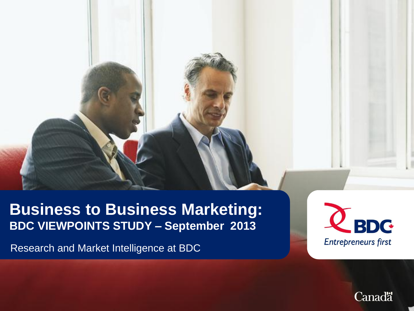### **Business to Business Marketing: BDC VIEWPOINTS STUDY – September 2013**

Research and Market Intelligence at BDC



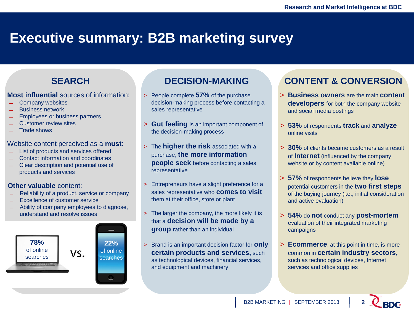### **Executive summary: B2B marketing survey**

#### **SEARCH**

#### **Most influential** sources of information:

- Company websites
- ̶ Business network
- ̶ Employees or business partners
- Customer review sites
- Trade shows

#### Website content perceived as a **must**:

- List of products and services offered
- ̶ Contact information and coordinates
- ̶ Clear description and potential use of products and services

#### **Other valuable** content:

- ̶ Reliability of a product, service or company
- Excellence of customer service
- ̶ Ability of company employees to diagnose, understand and resolve issues



#### **DECISION-MAKING**

- > People complete **57%** of the purchase decision-making process before contacting a sales representative
- > **Gut feeling** is an important component of the decision-making process
- > The **higher the risk** associated with a purchase, **the more information people seek** before contacting a sales representative
- > Entrepreneurs have a slight preference for a sales representative who **comes to visit**  them at their office, store or plant
- > The larger the company, the more likely it is that a **decision will be made by a group** rather than an individual
- > Brand is an important decision factor for **only certain products and services,** such as technological devices, financial services, and equipment and machinery

#### **CONTENT & CONVERSION**

- > **Business owners** are the main **content developers** for both the company website and social media postings
- > **53%** of respondents **track** and **analyze** online visits
- > **30%** of clients became customers as a result of **Internet** (influenced by the company website or by content available online)
- > **57%** of respondents believe they **lose** potential customers in the **two first steps**  of the buying journey (i.e., initial consideration and active evaluation)
- > **54%** do **not** conduct any **post-mortem** evaluation of their integrated marketing campaigns
- > **Ecommerce**, at this point in time, is more common in **certain industry sectors,**  such as technological devices, Internet services and office supplies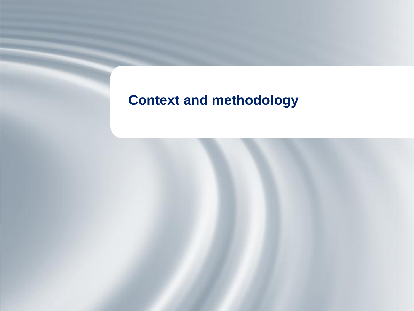### **Context and methodology**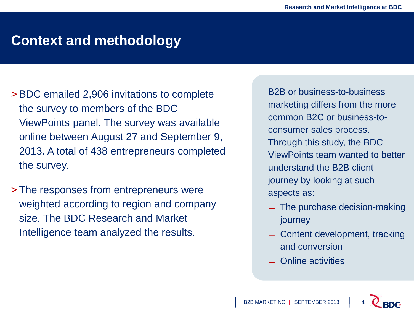### **Context and methodology**

- > BDC emailed 2,906 invitations to complete the survey to members of the BDC ViewPoints panel. The survey was available online between August 27 and September 9, 2013. A total of 438 entrepreneurs completed the survey.
- > The responses from entrepreneurs were weighted according to region and company size. The BDC Research and Market Intelligence team analyzed the results.

B2B or business-to-business marketing differs from the more common B2C or business-toconsumer sales process. Through this study, the BDC ViewPoints team wanted to better understand the B2B client journey by looking at such aspects as:

- ̶ The purchase decision-making journey
- ̶ Content development, tracking and conversion
- ̶ Online activities

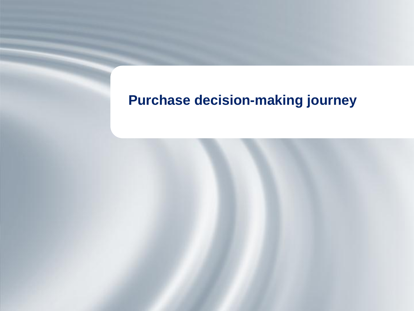# **Purchase decision-making journey**

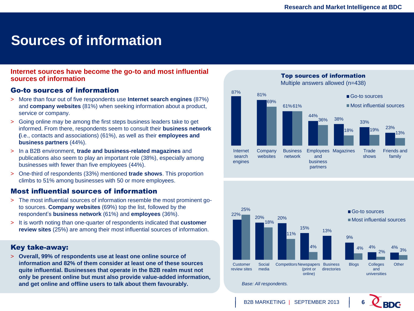### **Sources of information**

#### **Internet sources have become the go-to and most influential sources of information**

#### Go-to sources of information

- > More than four out of five respondents use **Internet search engines** (87%) and **company websites** (81%) when seeking information about a product, service or company.
- > Going online may be among the first steps business leaders take to get informed. From there, respondents seem to consult their **business network (**i.e., contacts and associations) (61%), as well as their **employees and business partners** (44%).
- > In a B2B environment, **trade and business-related magazines** and publications also seem to play an important role (38%), especially among businesses with fewer than five employees (44%).
- > One-third of respondents (33%) mentioned **trade shows**. This proportion climbs to 51% among businesses with 50 or more employees.

#### Most influential sources of information

- > The most influential sources of information resemble the most prominent goto sources. **Company websites** (69%) top the list, followed by the respondent's **business network** (61%) and **employees** (36%).
- > It is worth noting than one-quarter of respondents indicated that **customer review sites** (25%) are among their most influential sources of information.

#### Key take-away:

> **Overall, 99% of respondents use at least one online source of information and 82% of them consider at least one of these sources quite influential. Businesses that operate in the B2B realm must not only be present online but must also provide value-added information, and get online and offline users to talk about them favourably.**



Top sources of information



*Base: All respondents.*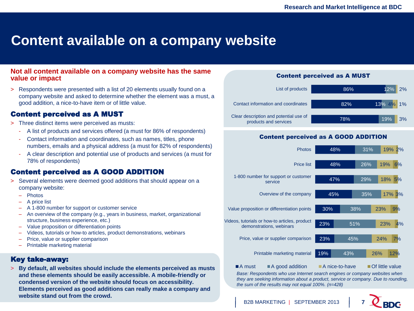### **Content available on a company website**

#### **Not all content available on a company website has the same value or impact**

> Respondents were presented with a list of 20 elements usually found on a company website and asked to determine whether the element was a must, a good addition, a nice-to-have item or of little value.

#### Content perceived as A MUST

- > Three distinct items were perceived as musts:
	- A list of products and services offered (a must for 86% of respondents)
	- Contact information and coordinates, such as names, titles, phone numbers, emails and a physical address (a must for 82% of respondents)
	- A clear description and potential use of products and services (a must for 78% of respondents)

#### Content perceived as A GOOD ADDITION

- > Several elements were deemed good additions that should appear on a company website:
	- Photos
	- A price list
	- A 1-800 number for support or customer service
	- An overview of the company (e.g., years in business, market, organizational structure, business experience, etc.)
	- Value proposition or differentiation points
	- Videos, tutorials or how-to articles, product demonstrations, webinars
	- Price, value or supplier comparison
	- Printable marketing material

#### Key take-away:

> **By default, all websites should include the elements perceived as musts and these elements should be easily accessible. A mobile-friendly or condensed version of the website should focus on accessibility. Elements perceived as good additions can really make a company and website stand out from the crowd.**

#### Content perceived as A MUST



#### Content perceived as A GOOD ADDITION



**Base: Respondents who use Internet search engines or company websites when** *they are seeking information about a product, service or company. Due to rounding, the sum of the results may not equal 100%. (n=428)*



#### B<sub>2</sub>B MARKETING | SEPTEMBER 2013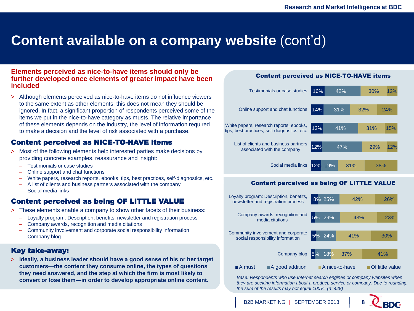### **Content available on a company website (cont'd)**

#### **Elements perceived as nice-to-have items should only be further developed once elements of greater impact have been included**

> Although elements perceived as nice-to-have items do not influence viewers to the same extent as other elements, this does not mean they should be ignored. In fact, a significant proportion of respondents perceived some of the items we put in the nice-to-have category as musts. The relative importance of these elements depends on the industry, the level of information required to make a decision and the level of risk associated with a purchase.

#### Content perceived as NICE-TO-HAVE items

- > Most of the following elements help interested parties make decisions by providing concrete examples, reassurance and insight:
	- Testimonials or case studies
	- Online support and chat functions
	- White papers, research reports, ebooks, tips, best practices, self-diagnostics, etc.
	- A list of clients and business partners associated with the company
	- Social media links

#### Content perceived as being OF LITTLE VALUE

- > These elements enable a company to show other facets of their business:
	- Loyalty program: Description, benefits, newsletter and registration process
	- Company awards, recognition and media citations
	- Community involvement and corporate social responsibility information
	- Company blog

#### Key take-away:

> **Ideally, a business leader should have a good sense of his or her target customers—the content they consume online, the types of questions they need answered, and the step at which the firm is most likely to convert or lose them—in order to develop appropriate online content.**

#### Content perceived as NICE-TO-HAVE items



#### Content perceived as being OF LITTLE VALUE



*Base: Respondents who use Internet search engines or company websites when they are seeking information about a product, service or company. Due to rounding, the sum of the results may not equal 100%. (n=428)*

B2B MARKETING | SEPTEMBER 2013 **8**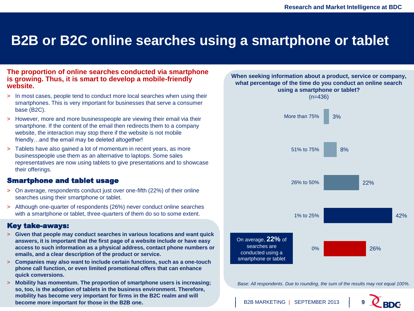### **B2B or B2C online searches using a smartphone or tablet**

#### **The proportion of online searches conducted via smartphone is growing. Thus, it is smart to develop a mobile-friendly website.**

- > In most cases, people tend to conduct more local searches when using their smartphones. This is very important for businesses that serve a consumer base (B2C).
- > However, more and more businesspeople are viewing their email via their smartphone. If the content of the email then redirects them to a company website, the interaction may stop there if the website is not mobile friendly…and the email may be deleted altogether!
- > Tablets have also gained a lot of momentum in recent years, as more businesspeople use them as an alternative to laptops. Some sales representatives are now using tablets to give presentations and to showcase their offerings.

#### Smartphone and tablet usage

- > On average, respondents conduct just over one-fifth (22%) of their online searches using their smartphone or tablet.
- > Although one-quarter of respondents (26%) never conduct online searches with a smartphone or tablet, three-quarters of them do so to some extent.

#### Key take-aways:

- > **Given that people may conduct searches in various locations and want quick answers, it is important that the first page of a website include or have easy access to such information as a physical address, contact phone numbers or emails, and a clear description of the product or service.**
- > **Companies may also want to include certain functions, such as a one-touch phone call function, or even limited promotional offers that can enhance quick conversions.**
- > **Mobility has momentum. The proportion of smartphone users is increasing; so, too, is the adoption of tablets in the business environment. Therefore, mobility has become very important for firms in the B2C realm and will become more important for those in the B2B one.**



*Base: All respondents. Due to rounding, the sum of the results may not equal 100%.*

B2B MARKETING | SEPTEMBER 2013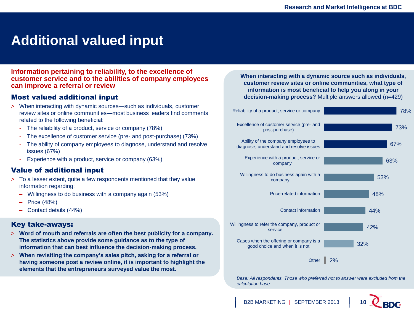### **Additional valued input**

**Information pertaining to reliability, to the excellence of customer service and to the abilities of company employees can improve a referral or review**

#### Most valued additional input

- > When interacting with dynamic sources—such as individuals, customer review sites or online communities—most business leaders find comments related to the following beneficial:
	- The reliability of a product, service or company (78%)
	- The excellence of customer service (pre- and post-purchase) (73%)
	- The ability of company employees to diagnose, understand and resolve issues (67%)
	- Experience with a product, service or company (63%)

#### Value of additional input

- > To a lesser extent, quite a few respondents mentioned that they value information regarding:
	- Willingness to do business with a company again (53%)
	- Price (48%)
	- Contact details (44%)

#### Key take-aways:

- > **Word of mouth and referrals are often the best publicity for a company. The statistics above provide some guidance as to the type of information that can best influence the decision-making process.**
- > **When revisiting the company's sales pitch, asking for a referral or having someone post a review online, it is important to highlight the elements that the entrepreneurs surveyed value the most.**

**When interacting with a dynamic source such as individuals, customer review sites or online communities, what type of information is most beneficial to help you along in your decision-making process?** Multiple answers allowed (n=429)



**Base: All respondents. Those who preferred not to answer were excluded from the** *calculation base.*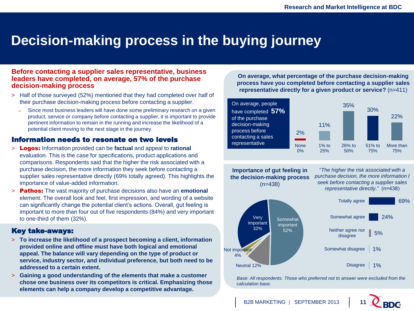### **Decision-making process in the buying journey**

#### **Before contacting a supplier sales representative, business leaders have completed, on average, 57% of the purchase decision-making process**

- > Half of those surveyed (52%) mentioned that they had completed over half of their purchase decision-making process before contacting a supplier.
	- ̶ Since most business leaders will have done some preliminary research on a given product, service or company before contacting a supplier, it is important to provide pertinent information to remain in the running and increase the likelihood of a potential client moving to the next stage in the journey.

#### Information needs to resonate on two levels

- > Logos: Information provided can be **factual** and appeal to **rational** evaluation. This is the case for specifications, product applications and comparisons. Respondents said that the higher the risk associated with a purchase decision, the more information they seek before contacting a supplier sales representative directly (69% totally agreed). This highlights the importance of value-added information.
- > Pathos: The vast majority of purchase decisions also have an **emotional** element. The overall look and feel, first impression, and wording of a website can significantly change the potential client's actions. Overall, gut feeling is important to more than four out of five respondents (84%) and very important to one-third of them (32%).

#### Key take-aways:

- > **To increase the likelihood of a prospect becoming a client, information provided online and offline must have both logical and emotional appeal. The balance will vary depending on the type of product or service, industry sector, and individual preference, but both need to be addressed to a certain extent.**
- > **Gaining a good understanding of the elements that make a customer chose one business over its competitors is critical. Emphasizing those elements can help a company develop a competitive advantage.**

**On average, what percentage of the purchase decision-making process have you completed before contacting a supplier sales representative directly for a given product or service?** (n=411)



**Importance of gut feeling in the decision-making process** (n=438)

"*The higher the risk associated with a purchase decision, the more information I seek before contacting a supplier sales representative directly*." (n=438)



**Base: All respondents. Those who preferred not to answer were excluded from the** *calculation base.*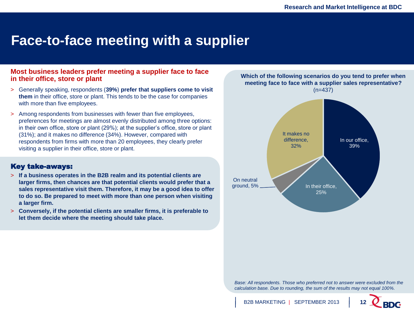### **Face-to-face meeting with a supplier**

#### **Most business leaders prefer meeting a supplier face to face in their office, store or plant**

- > Generally speaking, respondents (**39%**) **prefer that suppliers come to visit them** in their office, store or plant. This tends to be the case for companies with more than five employees.
- > Among respondents from businesses with fewer than five employees, preferences for meetings are almost evenly distributed among three options: in their own office, store or plant (29%); at the supplier's office, store or plant (31%); and it makes no difference (34%). However, compared with respondents from firms with more than 20 employees, they clearly prefer visiting a supplier in their office, store or plant.

#### Key take-aways:

- > **If a business operates in the B2B realm and its potential clients are larger firms, then chances are that potential clients would prefer that a sales representative visit them. Therefore, it may be a good idea to offer to do so. Be prepared to meet with more than one person when visiting a larger firm.**
- > **Conversely, if the potential clients are smaller firms, it is preferable to let them decide where the meeting should take place.**



**Base: All respondents. Those who preferred not to answer were excluded from the** *calculation base. Due to rounding, the sum of the results may not equal 100%.*

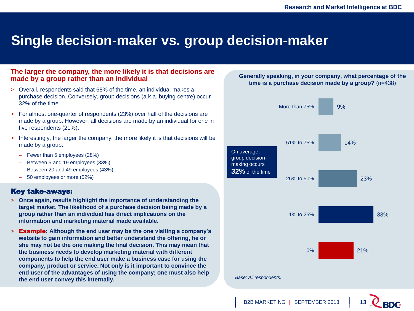### **Single decision-maker vs. group decision-maker**

#### **The larger the company, the more likely it is that decisions are made by a group rather than an individual**

- > Overall, respondents said that 68% of the time, an individual makes a purchase decision. Conversely, group decisions (a.k.a. buying centre) occur 32% of the time.
- > For almost one-quarter of respondents (23%) over half of the decisions are made by a group. However, all decisions are made by an individual for one in five respondents (21%).
- > Interestingly, the larger the company, the more likely it is that decisions will be made by a group:
	- Fewer than 5 employees (28%)
	- Between 5 and 19 employees (33%)
	- Between 20 and 49 employees (43%)
	- 50 employees or more (52%)

#### Key take-aways:

- > **Once again, results highlight the importance of understanding the target market. The likelihood of a purchase decision being made by a group rather than an individual has direct implications on the information and marketing material made available.**
- > Example**: Although the end user may be the one visiting a company's website to gain information and better understand the offering, he or she may not be the one making the final decision. This may mean that the business needs to develop marketing material with different components to help the end user make a business case for using the company, product or service. Not only is it important to convince the end user of the advantages of using the company; one must also help the end user convey this internally.**



**Generally speaking, in your company, what percentage of the**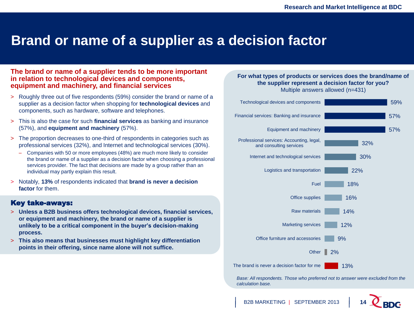### **Brand or name of a supplier as a decision factor**

#### **The brand or name of a supplier tends to be more important in relation to technological devices and components, equipment and machinery, and financial services**

- > Roughly three out of five respondents (59%) consider the brand or name of a supplier as a decision factor when shopping for **technological devices** and components, such as hardware, software and telephones.
- > This is also the case for such **financial services** as banking and insurance (57%), and **equipment and machinery** (57%).
- > The proportion decreases to one-third of respondents in categories such as professional services (32%), and Internet and technological services (30%).
	- Companies with 50 or more employees (48%) are much more likely to consider the brand or name of a supplier as a decision factor when choosing a professional services provider. The fact that decisions are made by a group rather than an individual may partly explain this result.
- > Notably, **13%** of respondents indicated that **brand is never a decision factor** for them.

#### Key take-aways:

- > **Unless a B2B business offers technological devices, financial services, or equipment and machinery, the brand or name of a supplier is unlikely to be a critical component in the buyer's decision-making process.**
- > **This also means that businesses must highlight key differentiation points in their offering, since name alone will not suffice.**

#### **For what types of products or services does the brand/name of the supplier represent a decision factor for you?** Multiple answers allowed (n=431)



**Base: All respondents. Those who preferred not to answer were excluded from the** *calculation base.*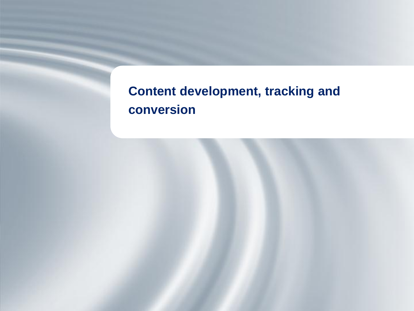# **Content development, tracking and conversion**

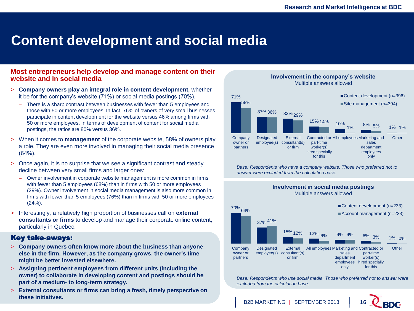### **Content development and social media**

#### **Most entrepreneurs help develop and manage content on their website and in social media**

- > **Company owners play an integral role in content development,** whether it be for the company's website (71%) or social media postings (70%).
	- There is a sharp contrast between businesses with fewer than 5 employees and those with 50 or more employees. In fact, 76% of owners of very small businesses participate in content development for the website versus 46% among firms with 50 or more employees. In terms of development of content for social media postings, the ratios are 80% versus 36%.
- > When it comes to **management** of the corporate website, 58% of owners play a role. They are even more involved in managing their social media presence (64%).
- > Once again, it is no surprise that we see a significant contrast and steady decline between very small firms and larger ones:
	- Owner involvement in corporate website management is more common in firms with fewer than 5 employees (68%) than in firms with 50 or more employees (29%). Owner involvement in social media management is also more common in firms with fewer than 5 employees (76%) than in firms with 50 or more employees (24%).
- > Interestingly, a relatively high proportion of businesses call on **external consultants or firms** to develop and manage their corporate online content, particularly in Quebec.

#### Key take-aways:

- > **Company owners often know more about the business than anyone else in the firm. However, as the company grows, the owner's time might be better invested elsewhere.**
- > **Assigning pertinent employees from different units (including the owner) to collaborate in developing content and postings should be part of a medium- to long-term strategy.**
- > **External consultants or firms can bring a fresh, timely perspective on these initiatives.**



**Involvement in the company's website**

**Base: Respondents who have a company website. Those who preferred not to** *answer were excluded from the calculation base.*

**Involvement in social media postings**



*Base: Respondents who use social media. Those who preferred not to answer were calculation base. excluded from the calculation base.*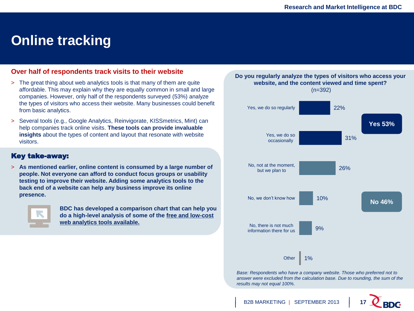#### **Online tracking**

#### **Over half of respondents track visits to their website**

- > The great thing about web analytics tools is that many of them are quite affordable. This may explain why they are equally common in small and large companies. However, only half of the respondents surveyed (53%) analyze the types of visitors who access their website. Many businesses could benefit from basic analytics.
- > Several tools (e.g., Google Analytics, Reinvigorate, KISSmetrics, Mint) can help companies track online visits. **These tools can provide invaluable insights** about the types of content and layout that resonate with website visitors.

#### Key take-away:

> **As mentioned earlier, online content is consumed by a large number of people. Not everyone can afford to conduct focus groups or usability testing to improve their website. Adding some analytics tools to the back end of a website can help any business improve its online presence.** 



**BDC has developed a comparison chart that can help you do a high-level analysis of some of the [free and low-cost](http://www.bdc.ca/EN/solutions/smart_tech/tech_advice/free_low_cost_applications/Pages/web_analytics_monitoring.aspx)  [web analytics tools available.](http://www.bdc.ca/EN/solutions/smart_tech/tech_advice/free_low_cost_applications/Pages/web_analytics_monitoring.aspx)** 



*answer were excluded from the calculation base. Due to rounding, the sum of the results may not equal 100%.*

B2B MARKETING | SEPTEMBER 2013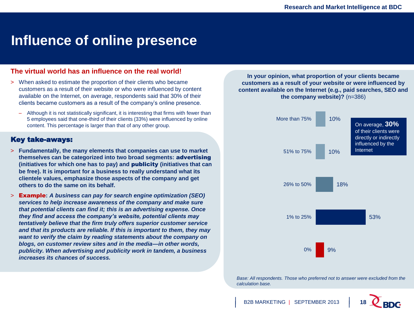#### **Influence of online presence**

#### **The virtual world has an influence on the real world!**

- > When asked to estimate the proportion of their clients who became customers as a result of their website or who were influenced by content available on the Internet, on average, respondents said that 30% of their clients became customers as a result of the company's online presence.
	- Although it is not statistically significant, it is interesting that firms with fewer than 5 employees said that one-third of their clients (33%) were influenced by online content. This percentage is larger than that of any other group.

#### Key take-aways:

- > **Fundamentally, the many elements that companies can use to market themselves can be categorized into two broad segments:** advertising **(initiatives for which one has to pay) and** publicity **(initiatives that can be free). It is important for a business to really understand what its clientele values, emphasize those aspects of the company and get others to do the same on its behalf.**
- > Example**:** *A business can pay for search engine optimization (SEO) services to help increase awareness of the company and make sure that potential clients can find it; this is an advertising expense. Once they find and access the company's website, potential clients may tentatively believe that the firm truly offers superior customer service and that its products are reliable. If this is important to them, they may want to verify the claim by reading statements about the company on blogs, on customer review sites and in the media—in other words, publicity. When advertising and publicity work in tandem, a business increases its chances of success.*

**In your opinion, what proportion of your clients became customers as a result of your website or were influenced by content available on the Internet (e.g., paid searches, SEO and the company website)?** (n=386)



**Base: All respondents. Those who preferred not to answer were excluded from the** *calculation base.*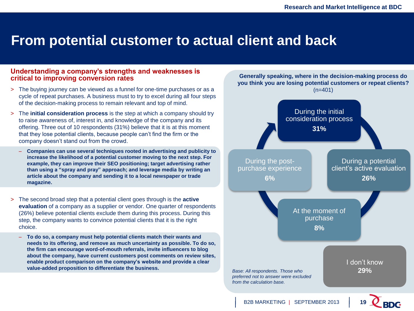#### **From potential customer to actual client and back**

#### **Understanding a company's strengths and weaknesses is critical to improving conversion rates**

- > The buying journey can be viewed as a funnel for one-time purchases or as a cycle of repeat purchases. A business must to try to excel during all four steps of the decision-making process to remain relevant and top of mind.
- > The **initial consideration process** is the step at which a company should try to raise awareness of, interest in, and knowledge of the company and its offering. Three out of 10 respondents (31%) believe that it is at this moment that they lose potential clients, because people can't find the firm or the company doesn't stand out from the crowd.
	- **Companies can use several techniques rooted in advertising and publicity to increase the likelihood of a potential customer moving to the next step. For example, they can improve their SEO positioning; target advertising rather than using a "spray and pray" approach; and leverage media by writing an article about the company and sending it to a local newspaper or trade magazine.**
- > The second broad step that a potential client goes through is the **active evaluation** of a company as a supplier or vendor. One quarter of respondents (26%) believe potential clients exclude them during this process. During this step, the company wants to convince potential clients that it is the right choice.
	- **To do so, a company must help potential clients match their wants and needs to its offering, and remove as much uncertainty as possible. To do so, the firm can encourage word-of-mouth referrals, invite influencers to blog about the company, have current customers post comments on review sites, enable product comparison on the company's website and provide a clear value-added proposition to differentiate the business.**

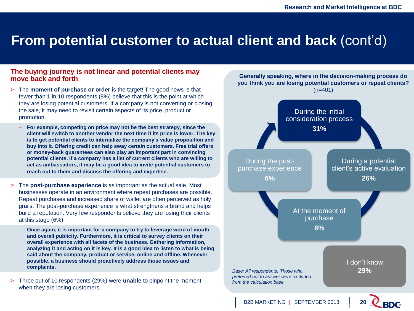### **From potential customer to actual client and back** (cont'd)

#### **The buying journey is not linear and potential clients may move back and forth**

- > The **moment of purchase or order** is the target! The good news is that fewer than 1 in 10 respondents (8%) believe that this is the point at which they are losing potential customers. If a company is not converting or closing the sale, it may need to revisit certain aspects of its price, product or promotion.
	- **For example, competing on price may not be the best strategy, since the client will switch to another vendor the next time if its price is lower. The key is to get potential clients to internalize the company's value proposition and buy into it. Offering credit can help sway certain customers. Free trial offers or money-back guarantees can also play an important part in convincing potential clients. If a company has a list of current clients who are willing to act as ambassadors, it may be a good idea to invite potential customers to reach out to them and discuss the offering and expertise.**
- > The **post-purchase experience** is as important as the actual sale. Most businesses operate in an environment where repeat purchases are possible. Repeat purchases and increased share of wallet are often perceived as holy grails. The post-purchase experience is what strengthens a brand and helps build a reputation. Very few respondents believe they are losing their clients at this stage (6%)
	- **Once again, it is important for a company to try to leverage word of mouth and overall publicity. Furthermore, it is critical to survey clients on their overall experience with all facets of the business. Gathering information, analyzing it and acting on it is key. It is a good idea to listen to what is being said about the company, product or service, online and offline. Whenever possible, a business should proactively address those issues and complaints.**
- > Three out of 10 respondents (29%) were **unable** to pinpoint the moment when they are losing customers.

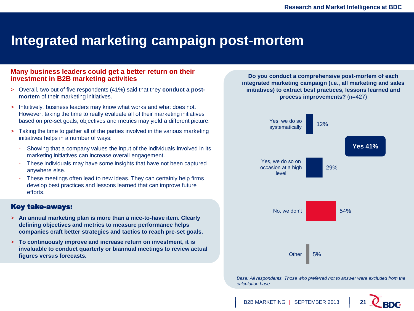### **Integrated marketing campaign post-mortem**

#### **Many business leaders could get a better return on their investment in B2B marketing activities**

- > Overall, two out of five respondents (41%) said that they **conduct a postmortem** of their marketing initiatives.
- > Intuitively, business leaders may know what works and what does not. However, taking the time to really evaluate all of their marketing initiatives based on pre-set goals, objectives and metrics may yield a different picture.
- > Taking the time to gather all of the parties involved in the various marketing initiatives helps in a number of ways:
	- Showing that a company values the input of the individuals involved in its marketing initiatives can increase overall engagement.
	- These individuals may have some insights that have not been captured anywhere else.
	- These meetings often lead to new ideas. They can certainly help firms develop best practices and lessons learned that can improve future efforts.

#### Key take-aways:

- > **An annual marketing plan is more than a nice-to-have item. Clearly defining objectives and metrics to measure performance helps companies craft better strategies and tactics to reach pre-set goals.**
- > **To continuously improve and increase return on investment, it is invaluable to conduct quarterly or biannual meetings to review actual figures versus forecasts.**

**Do you conduct a comprehensive post-mortem of each integrated marketing campaign (i.e., all marketing and sales initiatives) to extract best practices, lessons learned and process improvements?** (n=427)



**Base: All respondents. Those who preferred not to answer were excluded from the** *calculation base.*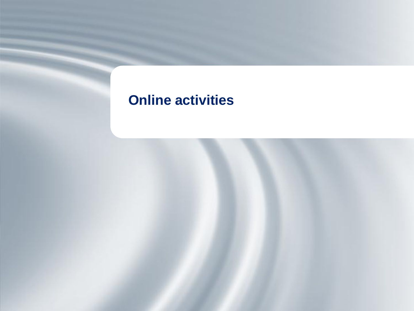# **Online activities**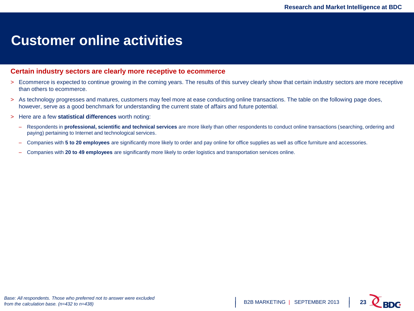#### **Customer online activities**

#### **Certain industry sectors are clearly more receptive to ecommerce**

- > Ecommerce is expected to continue growing in the coming years. The results of this survey clearly show that certain industry sectors are more receptive than others to ecommerce.
- > As technology progresses and matures, customers may feel more at ease conducting online transactions. The table on the following page does, however, serve as a good benchmark for understanding the current state of affairs and future potential.
- > Here are a few **statistical differences** worth noting:
	- Respondents in **professional, scientific and technical services** are more likely than other respondents to conduct online transactions (searching, ordering and paying) pertaining to Internet and technological services.
	- Companies with **5 to 20 employees** are significantly more likely to order and pay online for office supplies as well as office furniture and accessories.
	- Companies with **20 to 49 employees** are significantly more likely to order logistics and transportation services online.

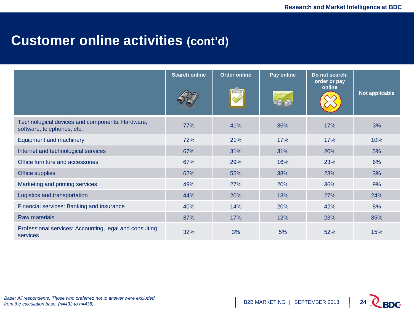### **Customer online activities (cont'd)**

|                                                                               | <b>Search online</b> | <b>Order online</b> | Pay online | Do not search,<br>order or pay<br>online | Not applicable |
|-------------------------------------------------------------------------------|----------------------|---------------------|------------|------------------------------------------|----------------|
| Technological devices and components: Hardware,<br>software, telephones, etc. | 77%                  | 41%                 | 36%        | 17%                                      | 3%             |
| Equipment and machinery                                                       | 72%                  | 21%                 | 17%        | 17%                                      | 10%            |
| Internet and technological services                                           | 67%                  | 31%                 | 31%        | 20%                                      | 5%             |
| Office furniture and accessories                                              | 67%                  | 29%                 | 16%        | 23%                                      | 6%             |
| Office supplies                                                               | 62%                  | 55%                 | 38%        | 23%                                      | 3%             |
| Marketing and printing services                                               | 49%                  | 27%                 | 20%        | 36%                                      | 9%             |
| Logistics and transportation                                                  | 44%                  | 20%                 | 13%        | 27%                                      | 24%            |
| Financial services: Banking and insurance                                     | 40%                  | 14%                 | 20%        | 42%                                      | 8%             |
| <b>Raw materials</b>                                                          | 37%                  | 17%                 | 12%        | 23%                                      | 35%            |
| Professional services: Accounting, legal and consulting<br>services           | 32%                  | 3%                  | 5%         | 52%                                      | 15%            |

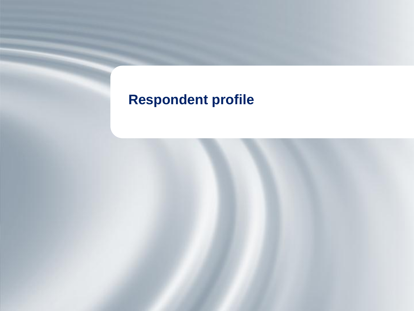# **Respondent profile**

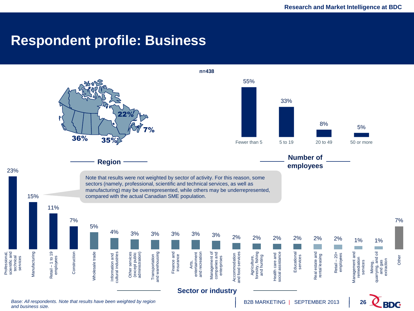#### **Respondent profile: Business**

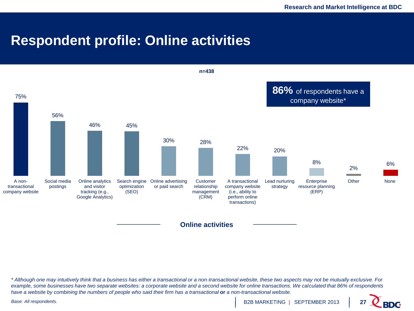### **Respondent profile: Online activities**



**Online activities**

*\* Although one may intuitively think that a business has either a transactional or a non-transactional website, these two aspects may not be mutually exclusive. For example, some businesses have two separate websites: a corporate website and a second website for online transactions. We calculated that 86% of respondents have a website by combining the numbers of people who said their firm has a transactional* **or** *a non-transactional website.*

*Base: All respondents.*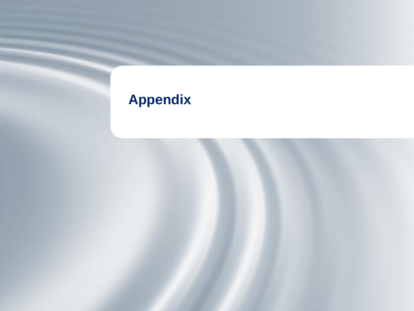# **Appendix**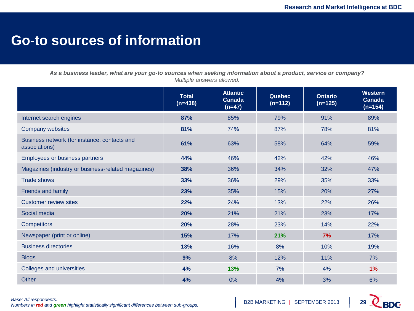### **Go-to sources of information**

*As a business leader, what are your go-to sources when seeking information about a product, service or company? Multiple answers allowed.*

|                                                               | <b>Total</b><br>$(n=438)$ | <b>Atlantic</b><br><b>Canada</b><br>$(n=47)$ | <b>Quebec</b><br>$(n=112)$ | <b>Ontario</b><br>$(n=125)$ | <b>Western</b><br><b>Canada</b><br>$(n=154)$ |
|---------------------------------------------------------------|---------------------------|----------------------------------------------|----------------------------|-----------------------------|----------------------------------------------|
| Internet search engines                                       | 87%                       | 85%                                          | 79%                        | 91%                         | 89%                                          |
| <b>Company websites</b>                                       | 81%                       | 74%                                          | 87%                        | 78%                         | 81%                                          |
| Business network (for instance, contacts and<br>associations) | 61%                       | 63%                                          | 58%                        | 64%                         | 59%                                          |
| Employees or business partners                                | 44%                       | 46%                                          | 42%                        | 42%                         | 46%                                          |
| Magazines (industry or business-related magazines)            | 38%                       | 36%                                          | 34%                        | 32%                         | 47%                                          |
| <b>Trade shows</b>                                            | 33%                       | 36%                                          | 29%                        | 35%                         | 33%                                          |
| <b>Friends and family</b>                                     | 23%                       | 35%                                          | 15%                        | 20%                         | 27%                                          |
| <b>Customer review sites</b>                                  | 22%                       | 24%                                          | 13%                        | 22%                         | 26%                                          |
| Social media                                                  | 20%                       | 21%                                          | 21%                        | 23%                         | 17%                                          |
| <b>Competitors</b>                                            | 20%                       | 28%                                          | 23%                        | 14%                         | 22%                                          |
| Newspaper (print or online)                                   | 15%                       | 17%                                          | 21%                        | 7%                          | 17%                                          |
| <b>Business directories</b>                                   | 13%                       | 16%                                          | 8%                         | 10%                         | 19%                                          |
| <b>Blogs</b>                                                  | 9%                        | 8%                                           | 12%                        | 11%                         | 7%                                           |
| Colleges and universities                                     | 4%                        | 13%                                          | 7%                         | 4%                          | 1%                                           |
| Other                                                         | 4%                        | 0%                                           | 4%                         | 3%                          | 6%                                           |

*Base: All respondents. Numbers in red and green highlight statistically significant differences between sub-groups.* 

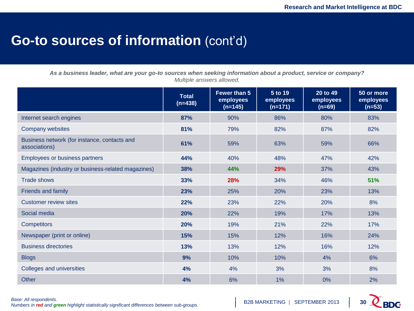### **Go-to sources of information** (cont'd)

*As a business leader, what are your go-to sources when seeking information about a product, service or company? Multiple answers allowed.*

|                                                               | <b>Total</b><br>$(n=438)$ | Fewer than 5<br>employees<br>$(n=145)$ | 5 to 19<br>employees<br>$(n=171)$ | 20 to 49<br>employees<br>$(n=69)$ | 50 or more<br>employees<br>$(n=53)$ |
|---------------------------------------------------------------|---------------------------|----------------------------------------|-----------------------------------|-----------------------------------|-------------------------------------|
| Internet search engines                                       | 87%                       | 90%                                    | 86%                               | 80%                               | 83%                                 |
| Company websites                                              | 81%                       | 79%                                    | 82%                               | 87%                               | 82%                                 |
| Business network (for instance, contacts and<br>associations) | 61%                       | 59%                                    | 63%                               | 59%                               | 66%                                 |
| Employees or business partners                                | 44%                       | 40%                                    | 48%                               | 47%                               | 42%                                 |
| Magazines (industry or business-related magazines)            | 38%                       | 44%                                    | 29%                               | 37%                               | 43%                                 |
| <b>Trade shows</b>                                            | 33%                       | 28%                                    | 34%                               | 46%                               | 51%                                 |
| <b>Friends and family</b>                                     | 23%                       | 25%                                    | 20%                               | 23%                               | 13%                                 |
| <b>Customer review sites</b>                                  | 22%                       | 23%                                    | 22%                               | 20%                               | 8%                                  |
| Social media                                                  | 20%                       | 22%                                    | 19%                               | 17%                               | 13%                                 |
| <b>Competitors</b>                                            | 20%                       | 19%                                    | 21%                               | 22%                               | 17%                                 |
| Newspaper (print or online)                                   | 15%                       | 15%                                    | 12%                               | 16%                               | 24%                                 |
| <b>Business directories</b>                                   | 13%                       | 13%                                    | 12%                               | 16%                               | 12%                                 |
| <b>Blogs</b>                                                  | 9%                        | 10%                                    | 10%                               | 4%                                | 6%                                  |
| Colleges and universities                                     | 4%                        | 4%                                     | 3%                                | 3%                                | 8%                                  |
| <b>Other</b>                                                  | 4%                        | 6%                                     | 1%                                | 0%                                | 2%                                  |

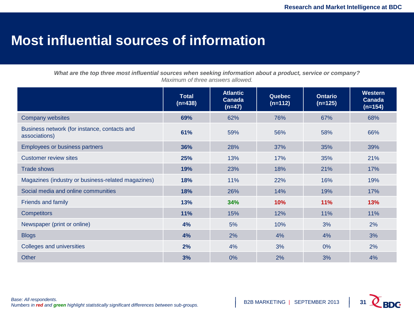### **Most influential sources of information**

*What are the top three most influential sources when seeking information about a product, service or company? Maximum of three answers allowed.*

|                                                               | <b>Total</b><br>$(n=438)$ | <b>Atlantic</b><br><b>Canada</b><br>$(n=47)$ | <b>Quebec</b><br>$(n=112)$ | <b>Ontario</b><br>$(n=125)$ | <b>Western</b><br><b>Canada</b><br>$(n=154)$ |
|---------------------------------------------------------------|---------------------------|----------------------------------------------|----------------------------|-----------------------------|----------------------------------------------|
| <b>Company websites</b>                                       | 69%                       | 62%                                          | 76%                        | 67%                         | 68%                                          |
| Business network (for instance, contacts and<br>associations) | 61%                       | 59%                                          | 56%                        | 58%                         | 66%                                          |
| Employees or business partners                                | 36%                       | 28%                                          | 37%                        | 35%                         | 39%                                          |
| <b>Customer review sites</b>                                  | 25%                       | 13%                                          | 17%                        | 35%                         | 21%                                          |
| <b>Trade shows</b>                                            | 19%                       | 23%                                          | 18%                        | 21%                         | 17%                                          |
| Magazines (industry or business-related magazines)            | 18%                       | 11%                                          | 22%                        | 16%                         | 19%                                          |
| Social media and online communities                           | 18%                       | 26%                                          | 14%                        | 19%                         | 17%                                          |
| <b>Friends and family</b>                                     | 13%                       | 34%                                          | 10%                        | 11%                         | 13%                                          |
| <b>Competitors</b>                                            | 11%                       | 15%                                          | 12%                        | 11%                         | 11%                                          |
| Newspaper (print or online)                                   | 4%                        | 5%                                           | 10%                        | 3%                          | 2%                                           |
| <b>Blogs</b>                                                  | 4%                        | 2%                                           | 4%                         | 4%                          | 3%                                           |
| Colleges and universities                                     | 2%                        | 4%                                           | 3%                         | 0%                          | 2%                                           |
| <b>Other</b>                                                  | 3%                        | 0%                                           | 2%                         | 3%                          | 4%                                           |

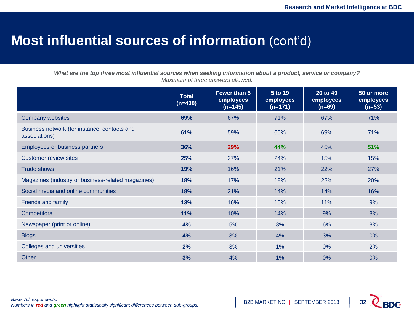### **Most influential sources of information** (cont'd)

*What are the top three most influential sources when seeking information about a product, service or company? Maximum of three answers allowed.*

|                                                               | <b>Total</b><br>$(n=438)$ | Fewer than 5<br>employees<br>$(n=145)$ | 5 to 19<br>employees<br>$(n=171)$ | 20 to 49<br>employees<br>$(n=69)$ | 50 or more<br>employees<br>$(n=53)$ |
|---------------------------------------------------------------|---------------------------|----------------------------------------|-----------------------------------|-----------------------------------|-------------------------------------|
| <b>Company websites</b>                                       | 69%                       | 67%                                    | 71%                               | 67%                               | 71%                                 |
| Business network (for instance, contacts and<br>associations) | 61%                       | 59%                                    | 60%                               | 69%                               | 71%                                 |
| <b>Employees or business partners</b>                         | 36%                       | 29%                                    | 44%                               | 45%                               | 51%                                 |
| <b>Customer review sites</b>                                  | 25%                       | 27%                                    | 24%                               | 15%                               | 15%                                 |
| <b>Trade shows</b>                                            | 19%                       | 16%                                    | 21%                               | 22%                               | 27%                                 |
| Magazines (industry or business-related magazines)            | 18%                       | 17%                                    | 18%                               | 22%                               | 20%                                 |
| Social media and online communities                           | 18%                       | 21%                                    | 14%                               | 14%                               | 16%                                 |
| <b>Friends and family</b>                                     | 13%                       | 16%                                    | 10%                               | 11%                               | 9%                                  |
| <b>Competitors</b>                                            | 11%                       | 10%                                    | 14%                               | 9%                                | 8%                                  |
| Newspaper (print or online)                                   | 4%                        | 5%                                     | 3%                                | 6%                                | 8%                                  |
| <b>Blogs</b>                                                  | 4%                        | 3%                                     | 4%                                | 3%                                | $0\%$                               |
| Colleges and universities                                     | 2%                        | 3%                                     | 1%                                | 0%                                | 2%                                  |
| <b>Other</b>                                                  | 3%                        | 4%                                     | 1%                                | 0%                                | 0%                                  |

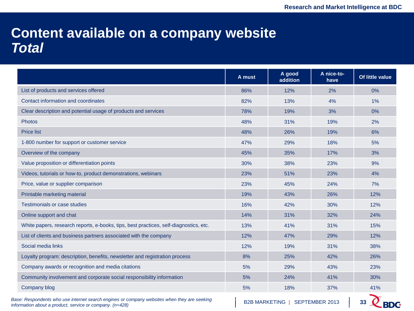#### **Content available on a company website** *Total*

|                                                                                       | A must | A good<br>addition | A nice-to-<br>have | Of little value |
|---------------------------------------------------------------------------------------|--------|--------------------|--------------------|-----------------|
| List of products and services offered                                                 | 86%    | 12%                | 2%                 | 0%              |
| Contact information and coordinates                                                   | 82%    | 13%                | 4%                 | 1%              |
| Clear description and potential usage of products and services                        | 78%    | 19%                | 3%                 | 0%              |
| Photos                                                                                | 48%    | 31%                | 19%                | 2%              |
| <b>Price list</b>                                                                     | 48%    | 26%                | 19%                | 6%              |
| 1-800 number for support or customer service                                          | 47%    | 29%                | 18%                | 5%              |
| Overview of the company                                                               | 45%    | 35%                | 17%                | 3%              |
| Value proposition or differentiation points                                           | 30%    | 38%                | 23%                | 9%              |
| Videos, tutorials or how-to, product demonstrations, webinars                         | 23%    | 51%                | 23%                | 4%              |
| Price, value or supplier comparison                                                   | 23%    | 45%                | 24%                | 7%              |
| Printable marketing material                                                          | 19%    | 43%                | 26%                | 12%             |
| <b>Testimonials or case studies</b>                                                   | 16%    | 42%                | 30%                | 12%             |
| Online support and chat                                                               | 14%    | 31%                | 32%                | 24%             |
| White papers, research reports, e-books, tips, best practices, self-diagnostics, etc. | 13%    | 41%                | 31%                | 15%             |
| List of clients and business partners associated with the company                     | 12%    | 47%                | 29%                | 12%             |
| Social media links                                                                    | 12%    | 19%                | 31%                | 38%             |
| Loyalty program: description, benefits, newsletter and registration process           | 8%     | 25%                | 42%                | 26%             |
| Company awards or recognition and media citations                                     | 5%     | 29%                | 43%                | 23%             |
| Community involvement and corporate social responsibility information                 | 5%     | 24%                | 41%                | 30%             |
| Company blog                                                                          | 5%     | 18%                | 37%                | 41%             |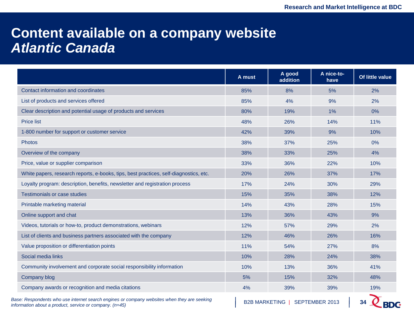### **Content available on a company website** *Atlantic Canada*

|                                                                                       | A must | A good<br>addition | A nice-to-<br>have | Of little value |
|---------------------------------------------------------------------------------------|--------|--------------------|--------------------|-----------------|
| Contact information and coordinates                                                   | 85%    | 8%                 | 5%                 | 2%              |
| List of products and services offered                                                 | 85%    | 4%                 | 9%                 | 2%              |
| Clear description and potential usage of products and services                        | 80%    | 19%                | 1%                 | 0%              |
| <b>Price list</b>                                                                     | 48%    | 26%                | 14%                | 11%             |
| 1-800 number for support or customer service                                          | 42%    | 39%                | 9%                 | 10%             |
| <b>Photos</b>                                                                         | 38%    | 37%                | 25%                | 0%              |
| Overview of the company                                                               | 38%    | 33%                | 25%                | 4%              |
| Price, value or supplier comparison                                                   | 33%    | 36%                | 22%                | 10%             |
| White papers, research reports, e-books, tips, best practices, self-diagnostics, etc. | 20%    | 26%                | 37%                | 17%             |
| Loyalty program: description, benefits, newsletter and registration process           | 17%    | 24%                | 30%                | 29%             |
| <b>Testimonials or case studies</b>                                                   | 15%    | 35%                | 38%                | 12%             |
| Printable marketing material                                                          | 14%    | 43%                | 28%                | 15%             |
| Online support and chat                                                               | 13%    | 36%                | 43%                | 9%              |
| Videos, tutorials or how-to, product demonstrations, webinars                         | 12%    | 57%                | 29%                | 2%              |
| List of clients and business partners associated with the company                     | 12%    | 46%                | 26%                | 16%             |
| Value proposition or differentiation points                                           | 11%    | 54%                | 27%                | 8%              |
| Social media links                                                                    | 10%    | 28%                | 24%                | 38%             |
| Community involvement and corporate social responsibility information                 | 10%    | 13%                | 36%                | 41%             |
| Company blog                                                                          | 5%     | 15%                | 32%                | 48%             |
| Company awards or recognition and media citations                                     | 4%     | 39%                | 39%                | 19%             |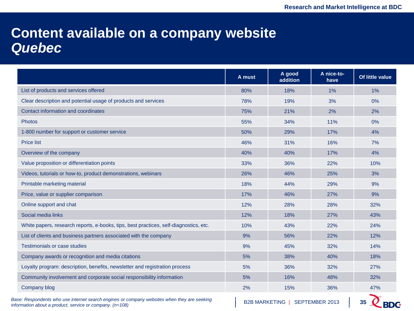### **Content available on a company website** *Quebec*

|                                                                                                                                                           | A must               | A good<br>addition | A nice-to-<br>have | Of little value |
|-----------------------------------------------------------------------------------------------------------------------------------------------------------|----------------------|--------------------|--------------------|-----------------|
| List of products and services offered                                                                                                                     | 80%                  | 18%                | 1%                 | 1%              |
| Clear description and potential usage of products and services                                                                                            | 78%                  | 19%                | 3%                 | 0%              |
| Contact information and coordinates                                                                                                                       | 75%                  | 21%                | 2%                 | 2%              |
| <b>Photos</b>                                                                                                                                             | 55%                  | 34%                | 11%                | 0%              |
| 1-800 number for support or customer service                                                                                                              | 50%                  | 29%                | 17%                | 4%              |
| <b>Price list</b>                                                                                                                                         | 46%                  | 31%                | 16%                | 7%              |
| Overview of the company                                                                                                                                   | 40%                  | 40%                | 17%                | 4%              |
| Value proposition or differentiation points                                                                                                               | 33%                  | 36%                | 22%                | 10%             |
| Videos, tutorials or how-to, product demonstrations, webinars                                                                                             | 26%                  | 46%                | 25%                | 3%              |
| Printable marketing material                                                                                                                              | 18%                  | 44%                | 29%                | 9%              |
| Price, value or supplier comparison                                                                                                                       | 17%                  | 46%                | 27%                | 9%              |
| Online support and chat                                                                                                                                   | 12%                  | 28%                | 28%                | 32%             |
| Social media links                                                                                                                                        | 12%                  | 18%                | 27%                | 43%             |
| White papers, research reports, e-books, tips, best practices, self-diagnostics, etc.                                                                     | 10%                  | 43%                | 22%                | 24%             |
| List of clients and business partners associated with the company                                                                                         | 9%                   | 56%                | 22%                | 12%             |
| <b>Testimonials or case studies</b>                                                                                                                       | 9%                   | 45%                | 32%                | 14%             |
| Company awards or recognition and media citations                                                                                                         | 5%                   | 38%                | 40%                | 18%             |
| Loyalty program: description, benefits, newsletter and registration process                                                                               | 5%                   | 36%                | 32%                | 27%             |
| Community involvement and corporate social responsibility information                                                                                     | 5%                   | 16%                | 48%                | 32%             |
| Company blog                                                                                                                                              | 2%                   | 15%                | 36%                | 47%             |
| Base: Respondents who use internet search engines or company websites when they are seeking<br>information about a product, service or company. $(n=108)$ | <b>B2B MARKETING</b> |                    | SEPTEMBER 2013     | BDC             |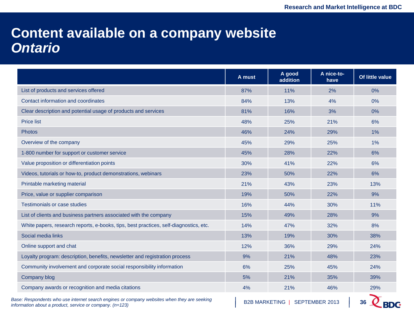### **Content available on a company website** *Ontario*

|                                                                                                                                                           | A must               | A good<br>addition | A nice-to-<br>have | Of little value |
|-----------------------------------------------------------------------------------------------------------------------------------------------------------|----------------------|--------------------|--------------------|-----------------|
| List of products and services offered                                                                                                                     | 87%                  | 11%                | 2%                 | 0%              |
| Contact information and coordinates                                                                                                                       | 84%                  | 13%                | 4%                 | 0%              |
| Clear description and potential usage of products and services                                                                                            | 81%                  | 16%                | 3%                 | 0%              |
| <b>Price list</b>                                                                                                                                         | 48%                  | 25%                | 21%                | 6%              |
| <b>Photos</b>                                                                                                                                             | 46%                  | 24%                | 29%                | 1%              |
| Overview of the company                                                                                                                                   | 45%                  | 29%                | 25%                | $1\%$           |
| 1-800 number for support or customer service                                                                                                              | 45%                  | 28%                | 22%                | 6%              |
| Value proposition or differentiation points                                                                                                               | 30%                  | 41%                | 22%                | 6%              |
| Videos, tutorials or how-to, product demonstrations, webinars                                                                                             | 23%                  | 50%                | 22%                | 6%              |
| Printable marketing material                                                                                                                              | 21%                  | 43%                | 23%                | 13%             |
| Price, value or supplier comparison                                                                                                                       | 19%                  | 50%                | 22%                | 9%              |
| Testimonials or case studies                                                                                                                              | 16%                  | 44%                | 30%                | 11%             |
| List of clients and business partners associated with the company                                                                                         | 15%                  | 49%                | 28%                | 9%              |
| White papers, research reports, e-books, tips, best practices, self-diagnostics, etc.                                                                     | 14%                  | 47%                | 32%                | 8%              |
| Social media links                                                                                                                                        | 13%                  | 19%                | 30%                | 38%             |
| Online support and chat                                                                                                                                   | 12%                  | 36%                | 29%                | 24%             |
| Loyalty program: description, benefits, newsletter and registration process                                                                               | 9%                   | 21%                | 48%                | 23%             |
| Community involvement and corporate social responsibility information                                                                                     | 6%                   | 25%                | 45%                | 24%             |
| Company blog                                                                                                                                              | 5%                   | 21%                | 35%                | 39%             |
| Company awards or recognition and media citations                                                                                                         | 4%                   | 21%                | 46%                | 29%             |
| Base: Respondents who use internet search engines or company websites when they are seeking<br>information about a product, service or company. $(n=123)$ | <b>B2B MARKETING</b> |                    | SEPTEMBER 2013     |                 |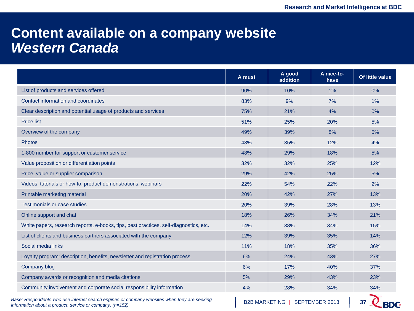### **Content available on a company website** *Western Canada*

|                                                                                       | A must | A good<br>addition | A nice-to-<br>have | Of little value |
|---------------------------------------------------------------------------------------|--------|--------------------|--------------------|-----------------|
| List of products and services offered                                                 | 90%    | 10%                | 1%                 | 0%              |
| Contact information and coordinates                                                   | 83%    | 9%                 | 7%                 | 1%              |
| Clear description and potential usage of products and services                        | 75%    | 21%                | 4%                 | 0%              |
| <b>Price list</b>                                                                     | 51%    | 25%                | 20%                | 5%              |
| Overview of the company                                                               | 49%    | 39%                | 8%                 | 5%              |
| <b>Photos</b>                                                                         | 48%    | 35%                | 12%                | 4%              |
| 1-800 number for support or customer service                                          | 48%    | 29%                | 18%                | 5%              |
| Value proposition or differentiation points                                           | 32%    | 32%                | 25%                | 12%             |
| Price, value or supplier comparison                                                   | 29%    | 42%                | 25%                | 5%              |
| Videos, tutorials or how-to, product demonstrations, webinars                         | 22%    | 54%                | 22%                | 2%              |
| Printable marketing material                                                          | 20%    | 42%                | 27%                | 13%             |
| <b>Testimonials or case studies</b>                                                   | 20%    | 39%                | 28%                | 13%             |
| Online support and chat                                                               | 18%    | 26%                | 34%                | 21%             |
| White papers, research reports, e-books, tips, best practices, self-diagnostics, etc. | 14%    | 38%                | 34%                | 15%             |
| List of clients and business partners associated with the company                     | 12%    | 39%                | 35%                | 14%             |
| Social media links                                                                    | 11%    | 18%                | 35%                | 36%             |
| Loyalty program: description, benefits, newsletter and registration process           | 6%     | 24%                | 43%                | 27%             |
| Company blog                                                                          | 6%     | 17%                | 40%                | 37%             |
| Company awards or recognition and media citations                                     | 5%     | 29%                | 43%                | 23%             |
| Community involvement and corporate social responsibility information                 | 4%     | 28%                | 34%                | 34%             |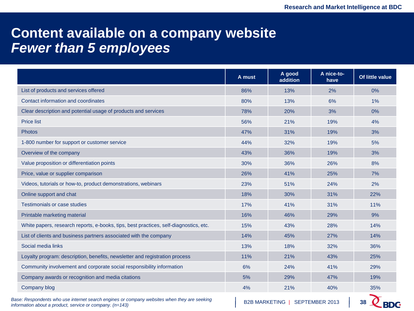### **Content available on a company website** *Fewer than 5 employees*

|                                                                                                                                                           | A must               | A good<br>addition | A nice-to-<br>have | Of little value  |
|-----------------------------------------------------------------------------------------------------------------------------------------------------------|----------------------|--------------------|--------------------|------------------|
| List of products and services offered                                                                                                                     | 86%                  | 13%                | 2%                 | 0%               |
| Contact information and coordinates                                                                                                                       | 80%                  | 13%                | 6%                 | $1\%$            |
| Clear description and potential usage of products and services                                                                                            | 78%                  | 20%                | 3%                 | 0%               |
| <b>Price list</b>                                                                                                                                         | 56%                  | 21%                | 19%                | 4%               |
| <b>Photos</b>                                                                                                                                             | 47%                  | 31%                | 19%                | 3%               |
| 1-800 number for support or customer service                                                                                                              | 44%                  | 32%                | 19%                | 5%               |
| Overview of the company                                                                                                                                   | 43%                  | 36%                | 19%                | 3%               |
| Value proposition or differentiation points                                                                                                               | 30%                  | 36%                | 26%                | 8%               |
| Price, value or supplier comparison                                                                                                                       | 26%                  | 41%                | 25%                | 7%               |
| Videos, tutorials or how-to, product demonstrations, webinars                                                                                             | 23%                  | 51%                | 24%                | 2%               |
| Online support and chat                                                                                                                                   | 18%                  | 30%                | 31%                | 22%              |
| <b>Testimonials or case studies</b>                                                                                                                       | 17%                  | 41%                | 31%                | 11%              |
| Printable marketing material                                                                                                                              | 16%                  | 46%                | 29%                | 9%               |
| White papers, research reports, e-books, tips, best practices, self-diagnostics, etc.                                                                     | 15%                  | 43%                | 28%                | 14%              |
| List of clients and business partners associated with the company                                                                                         | 14%                  | 45%                | 27%                | 14%              |
| Social media links                                                                                                                                        | 13%                  | 18%                | 32%                | 36%              |
| Loyalty program: description, benefits, newsletter and registration process                                                                               | 11%                  | 21%                | 43%                | 25%              |
| Community involvement and corporate social responsibility information                                                                                     | 6%                   | 24%                | 41%                | 29%              |
| Company awards or recognition and media citations                                                                                                         | 5%                   | 29%                | 47%                | 19%              |
| Company blog                                                                                                                                              | 4%                   | 21%                | 40%                | 35%              |
| Base: Respondents who use internet search engines or company websites when they are seeking<br>information about a product, service or company. $(n=143)$ | <b>B2B MARKETING</b> |                    | SEPTEMBER 2013     | 38<br><b>BDC</b> |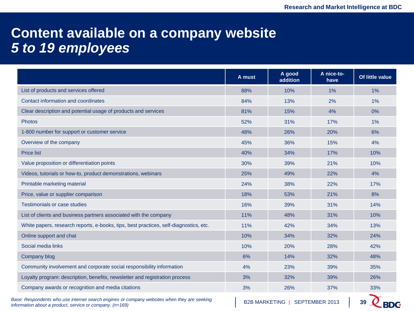### **Content available on a company website** *5 to 19 employees*

|                                                                                       | A must | A good<br>addition | A nice-to-<br>have | Of little value |
|---------------------------------------------------------------------------------------|--------|--------------------|--------------------|-----------------|
| List of products and services offered                                                 | 88%    | 10%                | 1%                 | 1%              |
| Contact information and coordinates                                                   | 84%    | 13%                | 2%                 | 1%              |
| Clear description and potential usage of products and services                        | 81%    | 15%                | 4%                 | 0%              |
| <b>Photos</b>                                                                         | 52%    | 31%                | 17%                | $1\%$           |
| 1-800 number for support or customer service                                          | 48%    | 26%                | 20%                | 6%              |
| Overview of the company                                                               | 45%    | 36%                | 15%                | 4%              |
| <b>Price list</b>                                                                     | 40%    | 34%                | 17%                | 10%             |
| Value proposition or differentiation points                                           | 30%    | 39%                | 21%                | 10%             |
| Videos, tutorials or how-to, product demonstrations, webinars                         | 25%    | 49%                | 22%                | 4%              |
| Printable marketing material                                                          | 24%    | 38%                | 22%                | 17%             |
| Price, value or supplier comparison                                                   | 18%    | 53%                | 21%                | 8%              |
| <b>Testimonials or case studies</b>                                                   | 16%    | 39%                | 31%                | 14%             |
| List of clients and business partners associated with the company                     | 11%    | 48%                | 31%                | 10%             |
| White papers, research reports, e-books, tips, best practices, self-diagnostics, etc. | 11%    | 42%                | 34%                | 13%             |
| Online support and chat                                                               | 10%    | 34%                | 32%                | 24%             |
| Social media links                                                                    | 10%    | 20%                | 28%                | 42%             |
| Company blog                                                                          | 6%     | 14%                | 32%                | 48%             |
| Community involvement and corporate social responsibility information                 | 4%     | 23%                | 39%                | 35%             |
| Loyalty program: description, benefits, newsletter and registration process           | 3%     | 32%                | 39%                | 26%             |
| Company awards or recognition and media citations                                     | 3%     | 26%                | 37%                | 33%             |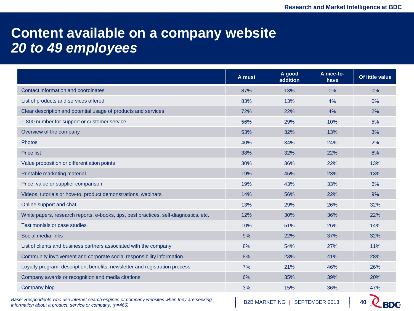### **Content available on a company website** *20 to 49 employees*

|                                                                                       | A must | A good<br>addition | A nice-to-<br>have | Of little value |
|---------------------------------------------------------------------------------------|--------|--------------------|--------------------|-----------------|
| Contact information and coordinates                                                   | 87%    | 13%                | 0%                 | 0%              |
| List of products and services offered                                                 | 83%    | 13%                | 4%                 | 0%              |
| Clear description and potential usage of products and services                        | 72%    | 22%                | 4%                 | 2%              |
| 1-800 number for support or customer service                                          | 56%    | 29%                | 10%                | 5%              |
| Overview of the company                                                               | 53%    | 32%                | 13%                | 3%              |
| <b>Photos</b>                                                                         | 40%    | 34%                | 24%                | 2%              |
| <b>Price list</b>                                                                     | 38%    | 32%                | 22%                | 8%              |
| Value proposition or differentiation points                                           | 30%    | 36%                | 22%                | 13%             |
| Printable marketing material                                                          | 19%    | 45%                | 23%                | 13%             |
| Price, value or supplier comparison                                                   | 19%    | 43%                | 33%                | 6%              |
| Videos, tutorials or how-to, product demonstrations, webinars                         | 14%    | 56%                | 22%                | 9%              |
| Online support and chat                                                               | 13%    | 29%                | 26%                | 32%             |
| White papers, research reports, e-books, tips, best practices, self-diagnostics, etc. | 12%    | 30%                | 36%                | 22%             |
| Testimonials or case studies                                                          | 10%    | 51%                | 26%                | 14%             |
| Social media links                                                                    | 9%     | 22%                | 37%                | 32%             |
| List of clients and business partners associated with the company                     | 8%     | 54%                | 27%                | 11%             |
| Community involvement and corporate social responsibility information                 | 8%     | 23%                | 41%                | 28%             |
| Loyalty program: description, benefits, newsletter and registration process           | 7%     | 21%                | 46%                | 26%             |
| Company awards or recognition and media citations                                     | 6%     | 35%                | 39%                | 20%             |
| Company blog                                                                          | 3%     | 15%                | 36%                | 47%             |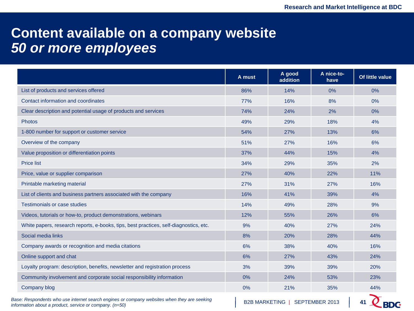### **Content available on a company website** *50 or more employees*

|                                                                                       | A must | A good<br>addition | A nice-to-<br>have | Of little value |
|---------------------------------------------------------------------------------------|--------|--------------------|--------------------|-----------------|
| List of products and services offered                                                 | 86%    | 14%                | 0%                 | 0%              |
| Contact information and coordinates                                                   | 77%    | 16%                | 8%                 | 0%              |
| Clear description and potential usage of products and services                        | 74%    | 24%                | 2%                 | 0%              |
| Photos                                                                                | 49%    | 29%                | 18%                | 4%              |
| 1-800 number for support or customer service                                          | 54%    | 27%                | 13%                | 6%              |
| Overview of the company                                                               | 51%    | 27%                | 16%                | 6%              |
| Value proposition or differentiation points                                           | 37%    | 44%                | 15%                | 4%              |
| <b>Price list</b>                                                                     | 34%    | 29%                | 35%                | 2%              |
| Price, value or supplier comparison                                                   | 27%    | 40%                | 22%                | 11%             |
| Printable marketing material                                                          | 27%    | 31%                | 27%                | 16%             |
| List of clients and business partners associated with the company                     | 16%    | 41%                | 39%                | 4%              |
| Testimonials or case studies                                                          | 14%    | 49%                | 28%                | 9%              |
| Videos, tutorials or how-to, product demonstrations, webinars                         | 12%    | 55%                | 26%                | 6%              |
| White papers, research reports, e-books, tips, best practices, self-diagnostics, etc. | 9%     | 40%                | 27%                | 24%             |
| Social media links                                                                    | 8%     | 20%                | 28%                | 44%             |
| Company awards or recognition and media citations                                     | 6%     | 38%                | 40%                | 16%             |
| Online support and chat                                                               | 6%     | 27%                | 43%                | 24%             |
| Loyalty program: description, benefits, newsletter and registration process           | 3%     | 39%                | 39%                | 20%             |
| Community involvement and corporate social responsibility information                 | 0%     | 24%                | 53%                | 23%             |
| Company blog                                                                          | 0%     | 21%                | 35%                | 44%             |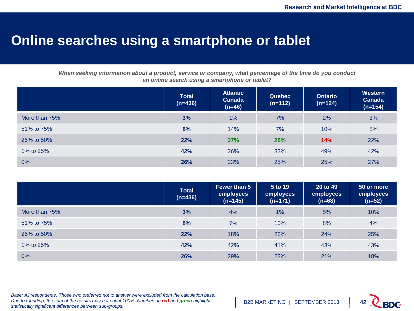#### **Online searches using a smartphone or tablet**

*When seeking information about a product, service or company, what percentage of the time do you conduct an online search using a smartphone or tablet?*

|               | <b>Total</b><br>$(n=436)$ | <b>Atlantic</b><br><b>Canada</b><br>$(n=46)$ | <b>Quebec</b><br>$(n=112)$ | <b>Ontario</b><br>$(n=124)$ | Western<br>Canada<br>$(n=154)$ |
|---------------|---------------------------|----------------------------------------------|----------------------------|-----------------------------|--------------------------------|
| More than 75% | 3%                        | 1%                                           | 7%                         | 2%                          | 3%                             |
| 51% to 75%    | 8%                        | 14%                                          | 7%                         | 10%                         | 5%                             |
| 26% to 50%    | 22%                       | 37%                                          | 28%                        | 14%                         | 22%                            |
| 1% to 25%     | 42%                       | 26%                                          | 33%                        | 49%                         | 42%                            |
| $0\%$         | 26%                       | 23%                                          | 25%                        | 25%                         | 27%                            |

|               | <b>Total</b><br>$(n=436)$ | Fewer than 5<br>employees<br>$(n=145)$ | 5 to 19<br>employees<br>$(n=171)$ | 20 to 49<br>employees<br>$(n=68)$ | 50 or more<br>employees<br>$(n=52)$ |
|---------------|---------------------------|----------------------------------------|-----------------------------------|-----------------------------------|-------------------------------------|
| More than 75% | 3%                        | 4%                                     | 1%                                | 5%                                | 10%                                 |
| 51% to 75%    | 8%                        | 7%                                     | 10%                               | 8%                                | 4%                                  |
| 26% to 50%    | 22%                       | 18%                                    | 26%                               | 24%                               | 25%                                 |
| 1% to 25%     | 42%                       | 42%                                    | 41%                               | 43%                               | 43%                                 |
| $0\%$         | 26%                       | 29%                                    | 22%                               | 21%                               | 18%                                 |

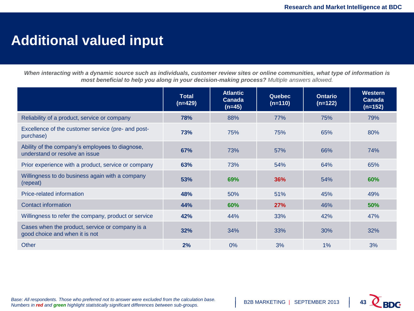### **Additional valued input**

*When interacting with a dynamic source such as individuals, customer review sites or online communities, what type of information is most beneficial to help you along in your decision-making process? Multiple answers allowed.*

|                                                                                   | Total<br>$(n=429)$ | <b>Atlantic</b><br>Canada<br>$(n=45)$ | <b>Quebec</b><br>$(n=110)$ | <b>Ontario</b><br>$(n=122)$ | Western<br>Canada<br>$(n=152)$ |
|-----------------------------------------------------------------------------------|--------------------|---------------------------------------|----------------------------|-----------------------------|--------------------------------|
| Reliability of a product, service or company                                      | 78%                | 88%                                   | 77%                        | 75%                         | 79%                            |
| Excellence of the customer service (pre- and post-<br>purchase)                   | 73%                | 75%                                   | 75%                        | 65%                         | 80%                            |
| Ability of the company's employees to diagnose,<br>understand or resolve an issue | 67%                | 73%                                   | 57%                        | 66%                         | 74%                            |
| Prior experience with a product, service or company                               | 63%                | 73%                                   | 54%                        | 64%                         | 65%                            |
| Willingness to do business again with a company<br>(repeat)                       | 53%                | 69%                                   | 36%                        | 54%                         | <b>60%</b>                     |
| Price-related information                                                         | 48%                | 50%                                   | 51%                        | 45%                         | 49%                            |
| Contact information                                                               | 44%                | 60%                                   | 27%                        | 46%                         | 50%                            |
| Willingness to refer the company, product or service                              | 42%                | 44%                                   | 33%                        | 42%                         | 47%                            |
| Cases when the product, service or company is a<br>good choice and when it is not | 32%                | 34%                                   | 33%                        | 30%                         | 32%                            |
| Other                                                                             | 2%                 | $0\%$                                 | 3%                         | 1%                          | 3%                             |

*Base: All respondents. Those who preferred not to answer were excluded from the calculation base. Numbers in red and green highlight statistically significant differences between sub-groups.* 

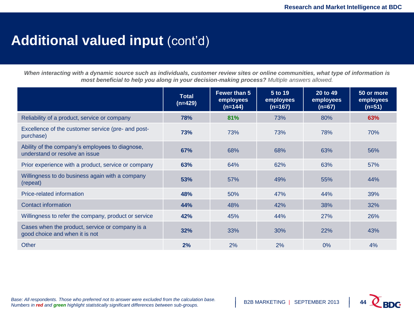### Additional valued input (cont'd)

*When interacting with a dynamic source such as individuals, customer review sites or online communities, what type of information is most beneficial to help you along in your decision-making process? Multiple answers allowed.*

|                                                                                   | <b>Total</b><br>$(n=429)$ | Fewer than 5<br>employees<br>$(n=144)$ | $5$ to 19<br>employees<br>$(n=167)$ | 20 to 49<br>employees<br>$(n=67)$ | 50 or more<br>employees<br>$(n=51)$ |
|-----------------------------------------------------------------------------------|---------------------------|----------------------------------------|-------------------------------------|-----------------------------------|-------------------------------------|
| Reliability of a product, service or company                                      | 78%                       | 81%                                    | 73%                                 | 80%                               | 63%                                 |
| Excellence of the customer service (pre- and post-<br>purchase)                   | 73%                       | 73%                                    | 73%                                 | 78%                               | 70%                                 |
| Ability of the company's employees to diagnose,<br>understand or resolve an issue | 67%                       | 68%                                    | 68%                                 | 63%                               | 56%                                 |
| Prior experience with a product, service or company                               | 63%                       | 64%                                    | 62%                                 | 63%                               | 57%                                 |
| Willingness to do business again with a company<br>(repeat)                       | 53%                       | 57%                                    | 49%                                 | 55%                               | 44%                                 |
| Price-related information                                                         | 48%                       | 50%                                    | 47%                                 | 44%                               | 39%                                 |
| <b>Contact information</b>                                                        | 44%                       | 48%                                    | 42%                                 | 38%                               | 32%                                 |
| Willingness to refer the company, product or service                              | 42%                       | 45%                                    | 44%                                 | 27%                               | 26%                                 |
| Cases when the product, service or company is a<br>good choice and when it is not | 32%                       | 33%                                    | 30%                                 | 22%                               | 43%                                 |
| Other                                                                             | 2%                        | 2%                                     | 2%                                  | 0%                                | 4%                                  |

*Base: All respondents. Those who preferred not to answer were excluded from the calculation base. Numbers in red and green highlight statistically significant differences between sub-groups.* 

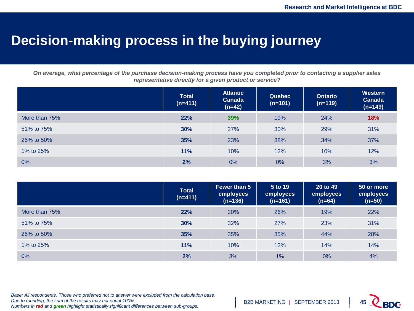### **Decision-making process in the buying journey**

*On average, what percentage of the purchase decision-making process have you completed prior to contacting a supplier sales representative directly for a given product or service?*

|               | <b>Total</b><br>$(n=411)$ | <b>Atlantic</b><br><b>Canada</b><br>$(n=42)$ | <b>Quebec</b><br>$(n=101)$ | <b>Ontario</b><br>$(n=119)$ | Western<br>Canada<br>$(n=149)$ |
|---------------|---------------------------|----------------------------------------------|----------------------------|-----------------------------|--------------------------------|
| More than 75% | 22%                       | 39%                                          | 19%                        | 24%                         | 18%                            |
| 51% to 75%    | 30%                       | 27%                                          | 30%                        | 29%                         | 31%                            |
| 26% to 50%    | 35%                       | 23%                                          | 38%                        | 34%                         | 37%                            |
| 1% to 25%     | 11%                       | 10%                                          | 12%                        | 10%                         | 12%                            |
| 0%            | 2%                        | 0%                                           | 0%                         | 3%                          | 3%                             |

|               | <b>Total</b><br>$(n=411)$ | <b>Fewer than 5</b><br>employees<br>$(n=136)$ | 5 to 19<br>employees<br>$(n=161)$ | 20 to 49<br>employees<br>$(n=64)$ | 50 or more<br>employees<br>$(n=50)$ |
|---------------|---------------------------|-----------------------------------------------|-----------------------------------|-----------------------------------|-------------------------------------|
| More than 75% | 22%                       | 20%                                           | 26%                               | 19%                               | 22%                                 |
| 51% to 75%    | 30%                       | 32%                                           | 27%                               | 23%                               | 31%                                 |
| 26% to 50%    | 35%                       | 35%                                           | 35%                               | 44%                               | 28%                                 |
| 1% to 25%     | 11%                       | 10%                                           | 12%                               | 14%                               | 14%                                 |
| $0\%$         | 2%                        | 3%                                            | 1%                                | 0%                                | 4%                                  |

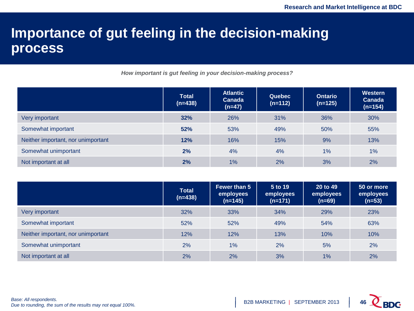### **Importance of gut feeling in the decision-making process**

*How important is gut feeling in your decision-making process?*

|                                    | <b>Total</b><br>$(n=438)$ | <b>Atlantic</b><br><b>Canada</b><br>$(n=47)$ | Quebec<br>$(n=112)$ | <b>Ontario</b><br>$(n=125)$ | Western<br>Canada<br>$(n=154)$ |
|------------------------------------|---------------------------|----------------------------------------------|---------------------|-----------------------------|--------------------------------|
| Very important                     | 32%                       | <b>26%</b>                                   | 31%                 | 36%                         | 30%                            |
| Somewhat important                 | 52%                       | 53%                                          | 49%                 | 50%                         | 55%                            |
| Neither important, nor unimportant | 12%                       | 16%                                          | 15%                 | 9%                          | 13%                            |
| Somewhat unimportant               | 2%                        | 4%                                           | 4%                  | 1%                          | 1%                             |
| Not important at all               | 2%                        | 1%                                           | 2%                  | 3%                          | 2%                             |

|                                    | <b>Total</b><br>$(n=438)$ | <b>Fewer than 5</b><br>employees<br>$(n=145)$ | 5 to 19<br>employees<br>$(n=171)$ | 20 to 49<br>employees<br>$(n=69)$ | 50 or more<br>employees<br>(n=53) |
|------------------------------------|---------------------------|-----------------------------------------------|-----------------------------------|-----------------------------------|-----------------------------------|
| Very important                     | 32%                       | 33%                                           | 34%                               | 29%                               | 23%                               |
| Somewhat important                 | 52%                       | 52%                                           | 49%                               | 54%                               | 63%                               |
| Neither important, nor unimportant | 12%                       | 12%                                           | 13%                               | 10%                               | 10%                               |
| Somewhat unimportant               | 2%                        | 1%                                            | 2%                                | 5%                                | 2%                                |
| Not important at all               | 2%                        | 2%                                            | 3%                                | 1%                                | 2%                                |

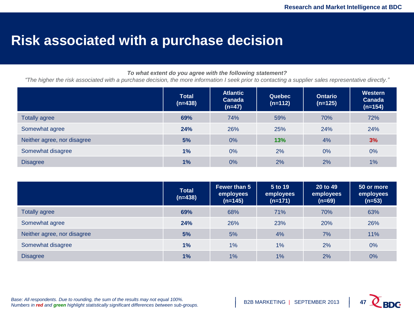### **Risk associated with a purchase decision**

#### *To what extent do you agree with the following statement?*

*"The higher the risk associated with a purchase decision, the more information I seek prior to contacting a supplier sales representative directly."*

|                             | <b>Total</b><br>$(n=438)$ | <b>Atlantic</b><br><b>Canada</b><br>$(n=47)$ | <b>Quebec</b><br>$(n=112)$ | <b>Ontario</b><br>$(n=125)$ | <b>Western</b><br>Canada<br>$(n=154)$ |
|-----------------------------|---------------------------|----------------------------------------------|----------------------------|-----------------------------|---------------------------------------|
| <b>Totally agree</b>        | 69%                       | 74%                                          | 59%                        | 70%                         | 72%                                   |
| Somewhat agree              | 24%                       | 26%                                          | 25%                        | 24%                         | 24%                                   |
| Neither agree, nor disagree | 5%                        | 0%                                           | 13%                        | 4%                          | 3%                                    |
| Somewhat disagree           | 1%                        | 0%                                           | 2%                         | 0%                          | 0%                                    |
| <b>Disagree</b>             | 1%                        | 0%                                           | 2%                         | 2%                          | 1%                                    |

|                             | <b>Total</b><br>$(n=438)$ | <b>Fewer than 5</b><br>employees<br>$(n=145)$ | 5 to 19<br>employees<br>$(n=171)$ | 20 to 49<br>employees<br>$(n=69)$ | 50 or more<br>employees<br>$(n=53)$ |
|-----------------------------|---------------------------|-----------------------------------------------|-----------------------------------|-----------------------------------|-------------------------------------|
| <b>Totally agree</b>        | 69%                       | 68%                                           | 71%                               | 70%                               | 63%                                 |
| Somewhat agree              | 24%                       | 26%                                           | 23%                               | 20%                               | 26%                                 |
| Neither agree, nor disagree | 5%                        | 5%                                            | 4%                                | 7%                                | 11%                                 |
| Somewhat disagree           | 1%                        | 1%                                            | 1%                                | 2%                                | 0%                                  |
| <b>Disagree</b>             | 1%                        | 1%                                            | 1%                                | 2%                                | $0\%$                               |

*Base: All respondents. Due to rounding, the sum of the results may not equal 100%. Numbers in red and green highlight statistically significant differences between sub-groups.* 

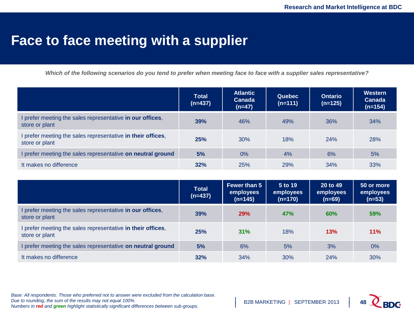### **Face to face meeting with a supplier**

*Which of the following scenarios do you tend to prefer when meeting face to face with a supplier sales representative?*

|                                                                               | <b>Total</b><br>$(n=437)$ | <b>Atlantic</b><br>Canada<br>$(n=47)$ | <b>Quebec</b><br>$(n=111)$ | <b>Ontario</b><br>$(n=125)$ | Western<br><b>Canada</b><br>$(n=154)$ |
|-------------------------------------------------------------------------------|---------------------------|---------------------------------------|----------------------------|-----------------------------|---------------------------------------|
| I prefer meeting the sales representative in our offices,<br>store or plant   | 39%                       | 46%                                   | 49%                        | 36%                         | 34%                                   |
| I prefer meeting the sales representative in their offices,<br>store or plant | 25%                       | 30%                                   | 18%                        | 24%                         | <b>28%</b>                            |
| I prefer meeting the sales representative on neutral ground                   | 5%                        | 0%                                    | 4%                         | 6%                          | 5%                                    |
| It makes no difference                                                        | 32%                       | <b>25%</b>                            | 29%                        | 34%                         | 33%                                   |

|                                                                               | <b>Total</b><br>$(n=437)$ | <b>Fewer than 5</b><br>employees<br>$(n=145)$ | 5 to 19<br>employees<br>$(n=170)$ | 20 to 49<br>employees<br>$(n=69)$ | 50 or more<br>employees<br>$(n=53)$ |
|-------------------------------------------------------------------------------|---------------------------|-----------------------------------------------|-----------------------------------|-----------------------------------|-------------------------------------|
| I prefer meeting the sales representative in our offices,<br>store or plant   | 39%                       | <b>29%</b>                                    | <b>47%</b>                        | 60%                               | <b>59%</b>                          |
| I prefer meeting the sales representative in their offices,<br>store or plant | 25%                       | 31%                                           | 18%                               | 13%                               | 11%                                 |
| I prefer meeting the sales representative on neutral ground                   | 5%                        | 6%                                            | 5%                                | 3%                                | 0%                                  |
| It makes no difference                                                        | 32%                       | 34%                                           | 30%                               | 24%                               | 30%                                 |

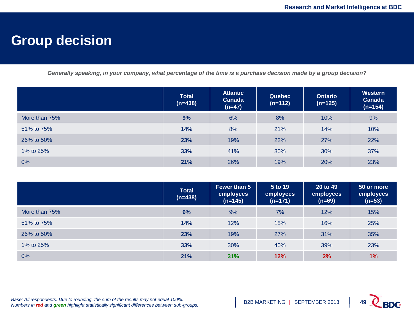### **Group decision**

*Generally speaking, in your company, what percentage of the time is a purchase decision made by a group decision?*

|               | <b>Total</b><br>$(n=438)$ | <b>Atlantic</b><br><b>Canada</b><br>$(n=47)$ | <b>Quebec</b><br>$(n=112)$ | <b>Ontario</b><br>$(n=125)$ | Western<br>Canada<br>$(n=154)$ |
|---------------|---------------------------|----------------------------------------------|----------------------------|-----------------------------|--------------------------------|
| More than 75% | 9%                        | 6%                                           | 8%                         | 10%                         | 9%                             |
| 51% to 75%    | 14%                       | 8%                                           | 21%                        | 14%                         | 10%                            |
| 26% to 50%    | 23%                       | 19%                                          | 22%                        | 27%                         | 22%                            |
| 1% to 25%     | 33%                       | 41%                                          | 30%                        | 30%                         | 37%                            |
| 0%            | 21%                       | 26%                                          | 19%                        | 20%                         | 23%                            |

|               | <b>Total</b><br>$(n=438)$ | Fewer than 5<br>employees<br>$(n=145)$ | 5 to 19<br>employees<br>$(n=171)$ | 20 to 49<br>employees<br>$(n=69)$ | 50 or more<br>employees<br>$(n=53)$ |
|---------------|---------------------------|----------------------------------------|-----------------------------------|-----------------------------------|-------------------------------------|
| More than 75% | 9%                        | 9%                                     | 7%                                | 12%                               | 15%                                 |
| 51% to 75%    | 14%                       | 12%                                    | 15%                               | 16%                               | 25%                                 |
| 26% to 50%    | 23%                       | 19%                                    | 27%                               | 31%                               | 35%                                 |
| 1% to 25%     | 33%                       | 30%                                    | 40%                               | 39%                               | 23%                                 |
| $0\%$         | 21%                       | 31%                                    | 12%                               | 2%                                | 1%                                  |

*Base: All respondents. Due to rounding, the sum of the results may not equal 100%. Numbers in red and green highlight statistically significant differences between sub-groups.* 

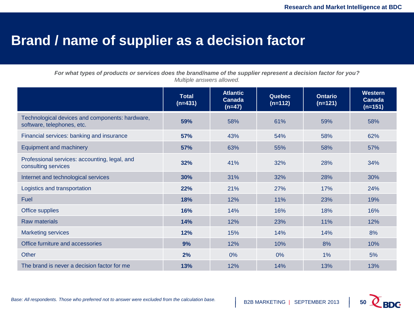### **Brand / name of supplier as a decision factor**

*For what types of products or services does the brand/name of the supplier represent a decision factor for you? Multiple answers allowed.*

|                                                                               | <b>Total</b><br>$(n=431)$ | <b>Atlantic</b><br><b>Canada</b><br>$(n=47)$ | <b>Quebec</b><br>$(n=112)$ | <b>Ontario</b><br>$(n=121)$ | <b>Western</b><br>Canada<br>$(n=151)$ |
|-------------------------------------------------------------------------------|---------------------------|----------------------------------------------|----------------------------|-----------------------------|---------------------------------------|
| Technological devices and components: hardware,<br>software, telephones, etc. | 59%                       | 58%                                          | 61%                        | 59%                         | 58%                                   |
| Financial services: banking and insurance                                     | 57%                       | 43%                                          | 54%                        | 58%                         | 62%                                   |
| <b>Equipment and machinery</b>                                                | 57%                       | 63%                                          | 55%                        | 58%                         | 57%                                   |
| Professional services: accounting, legal, and<br>consulting services          | 32%                       | 41%                                          | 32%                        | 28%                         | 34%                                   |
| Internet and technological services                                           | 30%                       | 31%                                          | 32%                        | 28%                         | 30%                                   |
| Logistics and transportation                                                  | 22%                       | 21%                                          | 27%                        | 17%                         | 24%                                   |
| Fuel                                                                          | 18%                       | 12%                                          | 11%                        | 23%                         | 19%                                   |
| Office supplies                                                               | 16%                       | 14%                                          | 16%                        | 18%                         | 16%                                   |
| <b>Raw materials</b>                                                          | 14%                       | 12%                                          | 23%                        | 11%                         | 12%                                   |
| <b>Marketing services</b>                                                     | 12%                       | 15%                                          | 14%                        | 14%                         | 8%                                    |
| Office furniture and accessories                                              | 9%                        | 12%                                          | 10%                        | 8%                          | 10%                                   |
| <b>Other</b>                                                                  | 2%                        | 0%                                           | 0%                         | 1%                          | 5%                                    |
| The brand is never a decision factor for me                                   | 13%                       | 12%                                          | 14%                        | 13%                         | 13%                                   |

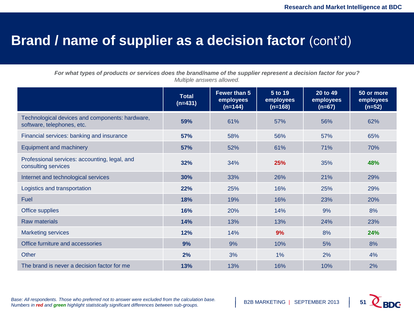### **Brand / name of supplier as a decision factor (cont'd)**

*For what types of products or services does the brand/name of the supplier represent a decision factor for you? Multiple answers allowed.*

|                                                                               | <b>Total</b><br>$(n=431)$ | Fewer than 5<br>employees<br>$(n=144)$ | 5 to 19<br>employees<br>$(n=168)$ | 20 to 49<br>employees<br>$(n=67)$ | 50 or more<br>employees<br>$(n=52)$ |
|-------------------------------------------------------------------------------|---------------------------|----------------------------------------|-----------------------------------|-----------------------------------|-------------------------------------|
| Technological devices and components: hardware,<br>software, telephones, etc. | 59%                       | 61%                                    | 57%                               | 56%                               | 62%                                 |
| Financial services: banking and insurance                                     | 57%                       | 58%                                    | 56%                               | 57%                               | 65%                                 |
| <b>Equipment and machinery</b>                                                | 57%                       | 52%                                    | 61%                               | 71%                               | 70%                                 |
| Professional services: accounting, legal, and<br>consulting services          | 32%                       | 34%                                    | 25%                               | 35%                               | 48%                                 |
| Internet and technological services                                           | 30%                       | 33%                                    | 26%                               | 21%                               | 29%                                 |
| Logistics and transportation                                                  | 22%                       | 25%                                    | 16%                               | 25%                               | 29%                                 |
| <b>Fuel</b>                                                                   | 18%                       | 19%                                    | 16%                               | 23%                               | 20%                                 |
| Office supplies                                                               | 16%                       | 20%                                    | 14%                               | 9%                                | 8%                                  |
| <b>Raw materials</b>                                                          | 14%                       | 13%                                    | 13%                               | 24%                               | 23%                                 |
| <b>Marketing services</b>                                                     | 12%                       | 14%                                    | 9%                                | 8%                                | 24%                                 |
| Office furniture and accessories                                              | 9%                        | 9%                                     | 10%                               | 5%                                | 8%                                  |
| <b>Other</b>                                                                  | 2%                        | 3%                                     | 1%                                | 2%                                | 4%                                  |
| The brand is never a decision factor for me                                   | 13%                       | 13%                                    | 16%                               | 10%                               | 2%                                  |

*Base: All respondents. Those who preferred not to answer were excluded from the calculation base. Numbers in red and green highlight statistically significant differences between sub-groups.* 

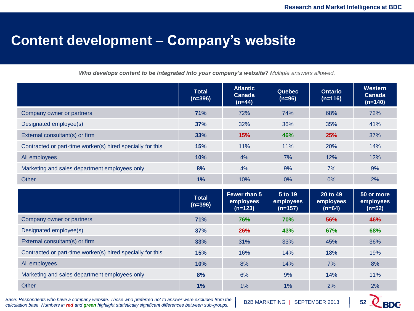### **Content development – Company's website**

*Who develops content to be integrated into your company's website? Multiple answers allowed.*

|                                                            | <b>Total</b><br>$(n=396)$ | <b>Atlantic</b><br>Canada<br>$(n=44)$  | <b>Quebec</b><br>$(n=96)$         | <b>Ontario</b><br>$(n=116)$       | <b>Western</b><br>Canada<br>$(n=140)$ |
|------------------------------------------------------------|---------------------------|----------------------------------------|-----------------------------------|-----------------------------------|---------------------------------------|
| Company owner or partners                                  | 71%                       | 72%                                    | 74%                               | 68%                               | 72%                                   |
| Designated employee(s)                                     | 37%                       | 32%                                    | 36%                               | 35%                               | 41%                                   |
| External consultant(s) or firm                             | 33%                       | 15%                                    | 46%                               | 25%                               | 37%                                   |
| Contracted or part-time worker(s) hired specially for this | 15%                       | 11%                                    | 11%                               | 20%                               | 14%                                   |
| All employees                                              | 10%                       | 4%                                     | 7%                                | 12%                               | 12%                                   |
| Marketing and sales department employees only              | 8%                        | 4%                                     | 9%                                | 7%                                | 9%                                    |
| <b>Other</b>                                               | 1%                        | 10%                                    | 0%                                | $0\%$                             | 2%                                    |
|                                                            |                           |                                        |                                   |                                   |                                       |
|                                                            | <b>Total</b><br>$(n=396)$ | Fewer than 5<br>employees<br>$(n=123)$ | 5 to 19<br>employees<br>$(n=157)$ | 20 to 49<br>employees<br>$(n=64)$ | 50 or more<br>employees<br>$(n=52)$   |
| Company owner or partners                                  | 71%                       | 76%                                    | 70%                               | 56%                               | 46%                                   |
| Designated employee(s)                                     | 37%                       | 26%                                    | 43%                               | 67%                               | 68%                                   |
| External consultant(s) or firm                             | 33%                       | 31%                                    | 33%                               | 45%                               | 36%                                   |
| Contracted or part-time worker(s) hired specially for this | 15%                       | 16%                                    | 14%                               | 18%                               | 19%                                   |
| All employees                                              | 10%                       | 8%                                     | 14%                               | 7%                                | 8%                                    |
| Marketing and sales department employees only              | 8%                        | 6%                                     | 9%                                | 14%                               | 11%                                   |

*Base: Respondents who have a company website. Those who preferred not to answer were excluded from the calculation base. Numbers in red and green highlight statistically significant differences between sub-groups.* 

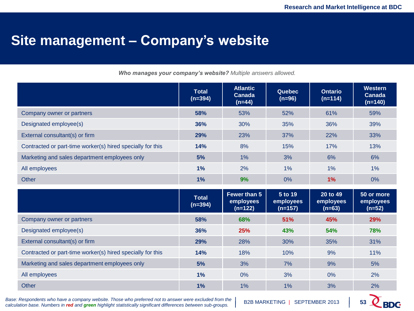### **Site management – Company's website**

*Who manages your company's website? Multiple answers allowed.*

|                                                            | <b>Total</b><br>$(n=394)$ | <b>Atlantic</b><br>Canada<br>$(n=44)$         | <b>Quebec</b><br>$(n=96)$         | <b>Ontario</b><br>$(n=114)$       | <b>Western</b><br>Canada<br>$(n=140)$ |
|------------------------------------------------------------|---------------------------|-----------------------------------------------|-----------------------------------|-----------------------------------|---------------------------------------|
| Company owner or partners                                  | 58%                       | 53%                                           | 52%                               | 61%                               | 59%                                   |
| Designated employee(s)                                     | 36%                       | 30%                                           | 35%                               | 36%                               | 39%                                   |
| External consultant(s) or firm                             | 29%                       | 23%                                           | 37%                               | 22%                               | 33%                                   |
| Contracted or part-time worker(s) hired specially for this | 14%                       | 8%                                            | 15%                               | 17%                               | 13%                                   |
| Marketing and sales department employees only              | 5%                        | 1%                                            | 3%                                | 6%                                | 6%                                    |
| All employees                                              | 1%                        | 2%                                            | 1%                                | 1%                                | $1\%$                                 |
| <b>Other</b>                                               | 1%                        | 9%                                            | 0%                                | 1%                                | 0%                                    |
|                                                            |                           |                                               |                                   |                                   |                                       |
|                                                            | <b>Total</b><br>$(n=394)$ | <b>Fewer than 5</b><br>employees<br>$(n=122)$ | 5 to 19<br>employees<br>$(n=157)$ | 20 to 49<br>employees<br>$(n=63)$ | 50 or more<br>employees<br>$(n=52)$   |
| Company owner or partners                                  | 58%                       | 68%                                           | 51%                               | 45%                               | 29%                                   |
| Designated employee(s)                                     | 36%                       | 25%                                           | 43%                               | 54%                               | 78%                                   |
| External consultant(s) or firm                             | 29%                       | 28%                                           | 30%                               | 35%                               | 31%                                   |
| Contracted or part-time worker(s) hired specially for this | 14%                       | 18%                                           | 10%                               | 9%                                | 11%                                   |
| Marketing and sales department employees only              | 5%                        | 3%                                            | 7%                                | 9%                                | 5%                                    |
| All employees                                              | 1%                        | 0%                                            | 3%                                | 0%                                | 2%                                    |

*Base: Respondents who have a company website. Those who preferred not to answer were excluded from the calculation base. Numbers in red and green highlight statistically significant differences between sub-groups.* 

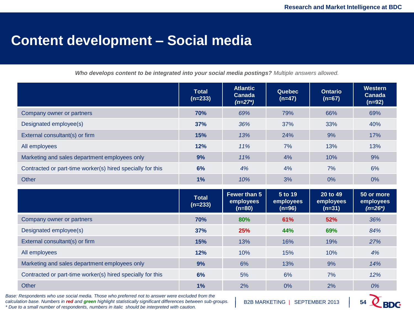### **Content development – Social media**

*Who develops content to be integrated into your social media postings? Multiple answers allowed.*

|                                                            | <b>Total</b><br>$(n=233)$ | <b>Atlantic</b><br>Canada<br>$(n=27^*)$ | <b>Quebec</b><br>$(n=47)$        | <b>Ontario</b><br>$(n=67)$        | <b>Western</b><br>Canada<br>$(n=92)$ |
|------------------------------------------------------------|---------------------------|-----------------------------------------|----------------------------------|-----------------------------------|--------------------------------------|
| Company owner or partners                                  | 70%                       | 69%                                     | 79%                              | 66%                               | 69%                                  |
| Designated employee(s)                                     | 37%                       | 36%                                     | 37%                              | 33%                               | 40%                                  |
| External consultant(s) or firm                             | 15%                       | 13%                                     | 24%                              | 9%                                | 17%                                  |
| All employees                                              | 12%                       | 11%                                     | 7%                               | 13%                               | 13%                                  |
| Marketing and sales department employees only              | 9%                        | 11%                                     | 4%                               | 10%                               | 9%                                   |
| Contracted or part-time worker(s) hired specially for this | 6%                        | 4%                                      | 4%                               | 7%                                | 6%                                   |
| <b>Other</b>                                               | 1%                        | 10%                                     | 3%                               | 0%                                | $0\%$                                |
|                                                            |                           |                                         |                                  |                                   |                                      |
|                                                            | <b>Total</b><br>$(n=233)$ | Fewer than 5<br>employees<br>$(n=80)$   | 5 to 19<br>employees<br>$(n=96)$ | 20 to 49<br>employees<br>$(n=31)$ | 50 or more<br>employees<br>$(n=26*)$ |
| Company owner or partners                                  | 70%                       | 80%                                     | 61%                              | 52%                               | 36%                                  |
| Designated employee(s)                                     | 37%                       | 25%                                     | 44%                              | 69%                               | 84%                                  |
| External consultant(s) or firm                             | 15%                       | 13%                                     | 16%                              | 19%                               | 27%                                  |
| All employees                                              | 12%                       | 10%                                     | 15%                              | 10%                               | 4%                                   |
| Marketing and sales department employees only              | 9%                        | 6%                                      | 13%                              | 9%                                | 14%                                  |
| Contracted or part-time worker(s) hired specially for this | 6%                        | 5%                                      | 6%                               | 7%                                | 12%                                  |

*Base: Respondents who use social media. Those who preferred not to answer were excluded from the calculation base. Numbers in red and green highlight statistically significant differences between sub-groups. \* Due to a small number of respondents, numbers in italic should be interpreted with caution.* 

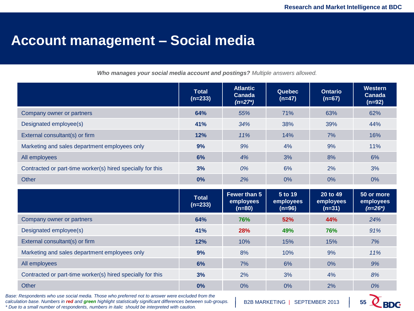### **Account management – Social media**

*Who manages your social media account and postings? Multiple answers allowed.*

|                                                            | <b>Total</b><br>$(n=233)$ | <b>Atlantic</b><br>Canada<br>$(n=27^*)$ | Quebec<br>$(n=47)$               | <b>Ontario</b><br>$(n=67)$        | Western<br>Canada<br>$(n=92)$        |
|------------------------------------------------------------|---------------------------|-----------------------------------------|----------------------------------|-----------------------------------|--------------------------------------|
| Company owner or partners                                  | 64%                       | 55%                                     | 71%                              | 63%                               | 62%                                  |
| Designated employee(s)                                     | 41%                       | 34%                                     | 38%                              | 39%                               | 44%                                  |
| External consultant(s) or firm                             | 12%                       | 11%                                     | 14%                              | 7%                                | 16%                                  |
| Marketing and sales department employees only              | 9%                        | 9%                                      | 4%                               | 9%                                | 11%                                  |
| All employees                                              | 6%                        | 4%                                      | 3%                               | 8%                                | 6%                                   |
| Contracted or part-time worker(s) hired specially for this | 3%                        | 0%                                      | 6%                               | 2%                                | 3%                                   |
| Other                                                      | 0%                        | 2%                                      | 0%                               | 0%                                | $0\%$                                |
|                                                            |                           |                                         |                                  |                                   |                                      |
|                                                            | <b>Total</b><br>$(n=233)$ | Fewer than 5<br>employees<br>$(n=80)$   | 5 to 19<br>employees<br>$(n=96)$ | 20 to 49<br>employees<br>$(n=31)$ | 50 or more<br>employees<br>$(n=26*)$ |
| Company owner or partners                                  | 64%                       | 76%                                     | 52%                              | 44%                               | 24%                                  |
| Designated employee(s)                                     | 41%                       | 28%                                     | 49%                              | 76%                               | 91%                                  |
| External consultant(s) or firm                             | 12%                       | 10%                                     | 15%                              | 15%                               | 7%                                   |
| Marketing and sales department employees only              | 9%                        | 8%                                      | 10%                              | 9%                                | 11%                                  |
| All employees                                              | 6%                        | 7%                                      | 6%                               | 0%                                | 9%                                   |
| Contracted or part-time worker(s) hired specially for this | 3%                        | 2%                                      | 3%                               | 4%                                | 8%                                   |

*Base: Respondents who use social media. Those who preferred not to answer were excluded from the calculation base. Numbers in red and green highlight statistically significant differences between sub-groups. \* Due to a small number of respondents, numbers in italic should be interpreted with caution.* 

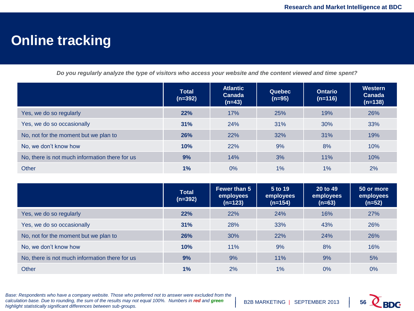### **Online tracking**

*Do you regularly analyze the type of visitors who access your website and the content viewed and time spent?*

|                                                | <b>Total</b><br>$(n=392)$ | <b>Atlantic</b><br>Canada<br>$(n=43)$ | Quebec<br>$(n=95)$ | <b>Ontario</b><br>$(n=116)$ | <b>Western</b><br>Canada<br>$(n=138)$ |
|------------------------------------------------|---------------------------|---------------------------------------|--------------------|-----------------------------|---------------------------------------|
| Yes, we do so regularly                        | 22%                       | 17%                                   | 25%                | 19%                         | 26%                                   |
| Yes, we do so occasionally                     | 31%                       | 24%                                   | 31%                | 30%                         | 33%                                   |
| No, not for the moment but we plan to          | 26%                       | 22%                                   | 32%                | 31%                         | 19%                                   |
| No, we don't know how                          | 10%                       | 22%                                   | 9%                 | 8%                          | 10%                                   |
| No, there is not much information there for us | 9%                        | 14%                                   | 3%                 | 11%                         | 10%                                   |
| Other                                          | 1%                        | $0\%$                                 | 1%                 | 1%                          | 2%                                    |

|                                                | <b>Total</b><br>$(n=392)$ | <b>Fewer than 5</b><br>employees<br>$(n=123)$ | 5 to 19<br>employees<br>$(n=154)$ | 20 to 49<br>employees<br>$(n=63)$ | 50 or more<br>employees<br>$(n=52)$ |
|------------------------------------------------|---------------------------|-----------------------------------------------|-----------------------------------|-----------------------------------|-------------------------------------|
| Yes, we do so regularly                        | 22%                       | 22%                                           | 24%                               | 16%                               | 27%                                 |
| Yes, we do so occasionally                     | 31%                       | 28%                                           | 33%                               | 43%                               | 26%                                 |
| No, not for the moment but we plan to          | 26%                       | 30%                                           | 22%                               | 24%                               | 26%                                 |
| No, we don't know how                          | 10%                       | 11%                                           | 9%                                | 8%                                | 16%                                 |
| No, there is not much information there for us | 9%                        | 9%                                            | 11%                               | 9%                                | 5%                                  |
| Other                                          | 1%                        | 2%                                            | $1\%$                             | $0\%$                             | $0\%$                               |

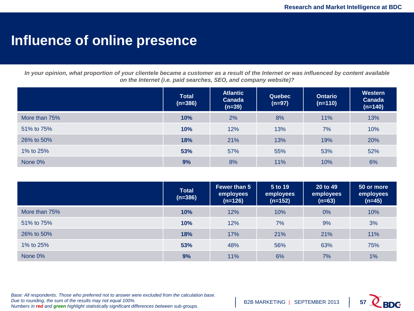### **Influence of online presence**

*In your opinion, what proportion of your clientele became a customer as a result of the Internet or was influenced by content available on the Internet (i.e. paid searches, SEO, and company website)?*

|               | <b>Total</b><br>$(n=386)$ | <b>Atlantic</b><br><b>Canada</b><br>$(n=39)$ | <b>Quebec</b><br>$(n=97)$ | <b>Ontario</b><br>$(n=110)$ | <b>Western</b><br>Canada<br>$(n=140)$ |
|---------------|---------------------------|----------------------------------------------|---------------------------|-----------------------------|---------------------------------------|
| More than 75% | 10%                       | 2%                                           | 8%                        | 11%                         | 13%                                   |
| 51% to 75%    | 10%                       | 12%                                          | 13%                       | 7%                          | 10%                                   |
| 26% to 50%    | 18%                       | 21%                                          | 13%                       | 19%                         | 20%                                   |
| 1% to 25%     | 53%                       | 57%                                          | 55%                       | 53%                         | 52%                                   |
| None 0%       | 9%                        | 8%                                           | 11%                       | 10%                         | 6%                                    |

|               | <b>Total</b><br>$(n=386)$ | Fewer than 5<br>employees<br>$(n=126)$ | 5 to 19<br>employees<br>$(n=152)$ | 20 to 49<br>employees<br>$(n=63)$ | 50 or more<br>employees<br>$(n=45)$ |
|---------------|---------------------------|----------------------------------------|-----------------------------------|-----------------------------------|-------------------------------------|
| More than 75% | 10%                       | 12%                                    | 10%                               | 0%                                | 10%                                 |
| 51% to 75%    | 10%                       | 12%                                    | 7%                                | 9%                                | 3%                                  |
| 26% to 50%    | 18%                       | 17%                                    | 21%                               | 21%                               | 11%                                 |
| 1% to 25%     | 53%                       | 48%                                    | 56%                               | 63%                               | 75%                                 |
| None 0%       | 9%                        | 11%                                    | 6%                                | 7%                                | 1%                                  |

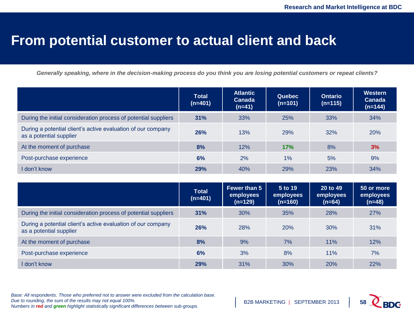#### **From potential customer to actual client and back**

*Generally speaking, where in the decision-making process do you think you are losing potential customers or repeat clients?*

|                                                                                         | <b>Total</b><br>$(n=401)$ | <b>Atlantic</b><br><b>Canada</b><br>$(n=41)$ | <b>Quebec</b><br>$(n=101)$ | <b>Ontario</b><br>$(n=115)$ | Western<br><b>Canada</b><br>(n=144) |
|-----------------------------------------------------------------------------------------|---------------------------|----------------------------------------------|----------------------------|-----------------------------|-------------------------------------|
| During the initial consideration process of potential suppliers                         | 31%                       | 33%                                          | 25%                        | 33%                         | 34%                                 |
| During a potential client's active evaluation of our company<br>as a potential supplier | 26%                       | 13%                                          | 29%                        | 32%                         | 20%                                 |
| At the moment of purchase                                                               | 8%                        | 12%                                          | 17%                        | 8%                          | 3%                                  |
| Post-purchase experience                                                                | 6%                        | 2%                                           | $1\%$                      | 5%                          | 9%                                  |
| I don't know                                                                            | 29%                       | 40%                                          | 29%                        | 23%                         | 34%                                 |

|                                                                                         | <b>Total</b><br>$(n=401)$ | Fewer than 5<br>employees<br>$(n=129)$ | 5 to 19<br>employees<br>$(n=160)$ | $20$ to 49<br>employees<br>(n=64) | 50 or more<br>employees<br>$(n=48)$ |
|-----------------------------------------------------------------------------------------|---------------------------|----------------------------------------|-----------------------------------|-----------------------------------|-------------------------------------|
| During the initial consideration process of potential suppliers                         | 31%                       | 30%                                    | 35%                               | 28%                               | 27%                                 |
| During a potential client's active evaluation of our company<br>as a potential supplier | 26%                       | 28%                                    | 20%                               | 30%                               | 31%                                 |
| At the moment of purchase                                                               | 8%                        | 9%                                     | 7%                                | 11%                               | 12%                                 |
| Post-purchase experience                                                                | 6%                        | 3%                                     | 8%                                | 11%                               | 7%                                  |
| I don't know                                                                            | 29%                       | 31%                                    | 30%                               | 20%                               | 22%                                 |

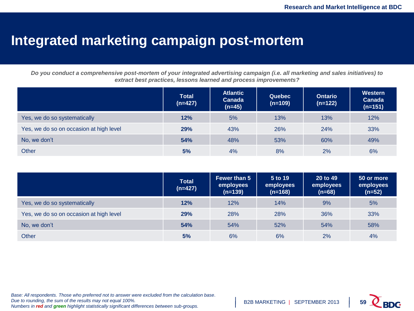### **Integrated marketing campaign post-mortem**

*Do you conduct a comprehensive post-mortem of your integrated advertising campaign (i.e. all marketing and sales initiatives) to extract best practices, lessons learned and process improvements?*

|                                         | <b>Total</b><br>$(n=427)$ | <b>Atlantic</b><br><b>Canada</b><br>$(n=45)$ | <b>Quebec</b><br>$(n=109)$ | <b>Ontario</b><br>$(n=122)$ | Western<br><b>Canada</b><br>$(n=151)$ |
|-----------------------------------------|---------------------------|----------------------------------------------|----------------------------|-----------------------------|---------------------------------------|
| Yes, we do so systematically            | 12%                       | 5%                                           | 13%                        | 13%                         | 12%                                   |
| Yes, we do so on occasion at high level | 29%                       | 43%                                          | 26%                        | 24%                         | 33%                                   |
| No, we don't                            | 54%                       | 48%                                          | 53%                        | 60%                         | 49%                                   |
| Other                                   | 5%                        | 4%                                           | 8%                         | 2%                          | 6%                                    |

|                                         | <b>Total</b><br>$(n=427)$ | <b>Fewer than 5</b><br>employees<br>$(n=139)$ | 5 to 19<br>employees<br>$(n=168)$ | 20 to 49<br>employees<br>$(n=68)$ | 50 or more<br>employees<br>$(n=52)$ |
|-----------------------------------------|---------------------------|-----------------------------------------------|-----------------------------------|-----------------------------------|-------------------------------------|
| Yes, we do so systematically            | 12%                       | 12%                                           | 14%                               | 9%                                | 5%                                  |
| Yes, we do so on occasion at high level | 29%                       | 28%                                           | 28%                               | 36%                               | 33%                                 |
| No, we don't                            | 54%                       | 54%                                           | 52%                               | 54%                               | 58%                                 |
| Other                                   | 5%                        | 6%                                            | 6%                                | 2%                                | 4%                                  |

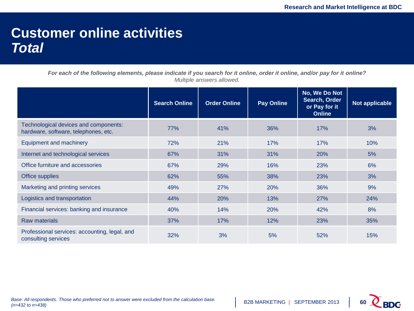### **Customer online activities** *Total*

|                                                                               | <b>Search Online</b> | <b>Order Online</b> | <b>Pay Online</b> | No, We Do Not<br>Search, Order<br>or Pay for it<br><b>Online</b> | Not applicable |
|-------------------------------------------------------------------------------|----------------------|---------------------|-------------------|------------------------------------------------------------------|----------------|
| Technological devices and components:<br>hardware, software, telephones, etc. | 77%                  | 41%                 | 36%               | 17%                                                              | 3%             |
| <b>Equipment and machinery</b>                                                | 72%                  | 21%                 | 17%               | 17%                                                              | 10%            |
| Internet and technological services                                           | 67%                  | 31%                 | 31%               | <b>20%</b>                                                       | 5%             |
| Office furniture and accessories                                              | 67%                  | 29%                 | 16%               | 23%                                                              | 6%             |
| Office supplies                                                               | 62%                  | 55%                 | 38%               | 23%                                                              | 3%             |
| Marketing and printing services                                               | 49%                  | 27%                 | 20%               | 36%                                                              | 9%             |
| Logistics and transportation                                                  | 44%                  | 20%                 | 13%               | 27%                                                              | 24%            |
| Financial services: banking and insurance                                     | 40%                  | 14%                 | 20%               | 42%                                                              | 8%             |
| <b>Raw materials</b>                                                          | 37%                  | 17%                 | 12%               | 23%                                                              | 35%            |
| Professional services: accounting, legal, and<br>consulting services          | 32%                  | 3%                  | 5%                | 52%                                                              | 15%            |

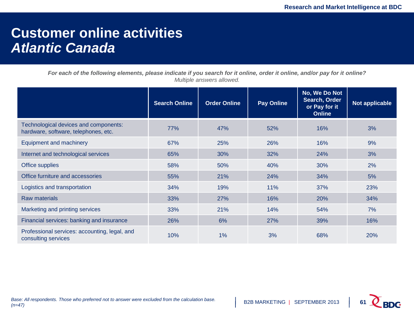### **Customer online activities** *Atlantic Canada*

|                                                                               | <b>Search Online</b> | <b>Order Online</b> | <b>Pay Online</b> | No, We Do Not<br>Search, Order<br>or Pay for it<br><b>Online</b> | Not applicable |
|-------------------------------------------------------------------------------|----------------------|---------------------|-------------------|------------------------------------------------------------------|----------------|
| Technological devices and components:<br>hardware, software, telephones, etc. | 77%                  | 47%                 | 52%               | 16%                                                              | 3%             |
| Equipment and machinery                                                       | 67%                  | 25%                 | 26%               | 16%                                                              | 9%             |
| Internet and technological services                                           | 65%                  | 30%                 | 32%               | 24%                                                              | 3%             |
| Office supplies                                                               | 58%                  | 50%                 | 40%               | 30%                                                              | 2%             |
| Office furniture and accessories                                              | 55%                  | 21%                 | 24%               | 34%                                                              | 5%             |
| Logistics and transportation                                                  | 34%                  | 19%                 | 11%               | 37%                                                              | 23%            |
| Raw materials                                                                 | 33%                  | 27%                 | 16%               | 20%                                                              | 34%            |
| Marketing and printing services                                               | 33%                  | 21%                 | 14%               | 54%                                                              | 7%             |
| Financial services: banking and insurance                                     | 26%                  | 6%                  | 27%               | 39%                                                              | 16%            |
| Professional services: accounting, legal, and<br>consulting services          | 10%                  | $1\%$               | 3%                | 68%                                                              | <b>20%</b>     |

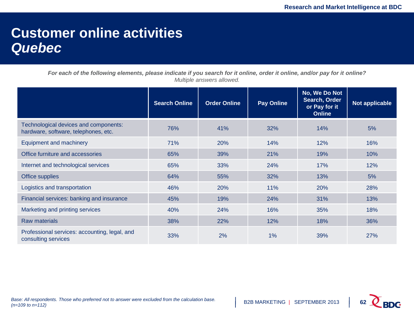### **Customer online activities** *Quebec*

|                                                                               | <b>Search Online</b> | <b>Order Online</b> | <b>Pay Online</b> | No, We Do Not<br>Search, Order<br>or Pay for it<br><b>Online</b> | Not applicable |
|-------------------------------------------------------------------------------|----------------------|---------------------|-------------------|------------------------------------------------------------------|----------------|
| Technological devices and components:<br>hardware, software, telephones, etc. | 76%                  | 41%                 | 32%               | 14%                                                              | 5%             |
| <b>Equipment and machinery</b>                                                | 71%                  | 20%                 | 14%               | 12%                                                              | 16%            |
| Office furniture and accessories                                              | 65%                  | 39%                 | 21%               | 19%                                                              | 10%            |
| Internet and technological services                                           | 65%                  | 33%                 | 24%               | 17%                                                              | 12%            |
| Office supplies                                                               | 64%                  | 55%                 | 32%               | 13%                                                              | 5%             |
| Logistics and transportation                                                  | 46%                  | 20%                 | 11%               | 20%                                                              | 28%            |
| Financial services: banking and insurance                                     | 45%                  | 19%                 | 24%               | 31%                                                              | 13%            |
| Marketing and printing services                                               | 40%                  | 24%                 | 16%               | 35%                                                              | 18%            |
| <b>Raw materials</b>                                                          | 38%                  | 22%                 | 12%               | 18%                                                              | 36%            |
| Professional services: accounting, legal, and<br>consulting services          | 33%                  | 2%                  | 1%                | 39%                                                              | 27%            |

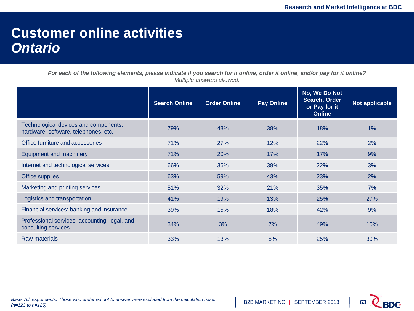### **Customer online activities** *Ontario*

|                                                                               | <b>Search Online</b> | <b>Order Online</b> | <b>Pay Online</b> | No, We Do Not<br>Search, Order<br>or Pay for it<br><b>Online</b> | Not applicable |
|-------------------------------------------------------------------------------|----------------------|---------------------|-------------------|------------------------------------------------------------------|----------------|
| Technological devices and components:<br>hardware, software, telephones, etc. | 79%                  | 43%                 | 38%               | 18%                                                              | $1\%$          |
| Office furniture and accessories                                              | 71%                  | 27%                 | 12%               | 22%                                                              | 2%             |
| <b>Equipment and machinery</b>                                                | 71%                  | 20%                 | 17%               | 17%                                                              | 9%             |
| Internet and technological services                                           | 66%                  | 36%                 | 39%               | 22%                                                              | 3%             |
| Office supplies                                                               | 63%                  | 59%                 | 43%               | 23%                                                              | 2%             |
| Marketing and printing services                                               | 51%                  | 32%                 | 21%               | 35%                                                              | 7%             |
| Logistics and transportation                                                  | 41%                  | 19%                 | 13%               | 25%                                                              | 27%            |
| Financial services: banking and insurance                                     | 39%                  | 15%                 | 18%               | 42%                                                              | 9%             |
| Professional services: accounting, legal, and<br>consulting services          | 34%                  | 3%                  | 7%                | 49%                                                              | 15%            |
| Raw materials                                                                 | 33%                  | 13%                 | 8%                | 25%                                                              | 39%            |

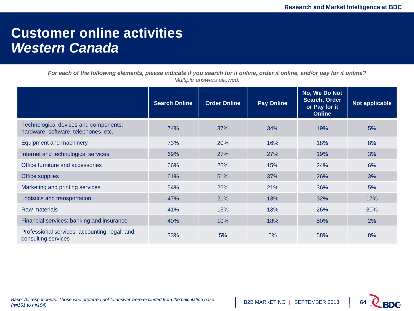### **Customer online activities** *Western Canada*

|                                                                               | <b>Search Online</b> | <b>Order Online</b> | <b>Pay Online</b> | No, We Do Not<br>Search, Order<br>or Pay for it<br><b>Online</b> | Not applicable |
|-------------------------------------------------------------------------------|----------------------|---------------------|-------------------|------------------------------------------------------------------|----------------|
| Technological devices and components:<br>hardware, software, telephones, etc. | 74%                  | 37%                 | 34%               | 19%                                                              | 5%             |
| Equipment and machinery                                                       | 73%                  | 20%                 | 16%               | 18%                                                              | 8%             |
| Internet and technological services                                           | 69%                  | 27%                 | 27%               | 19%                                                              | 3%             |
| Office furniture and accessories                                              | 66%                  | 26%                 | 15%               | 24%                                                              | 6%             |
| Office supplies                                                               | 61%                  | 51%                 | 37%               | 26%                                                              | 3%             |
| Marketing and printing services                                               | 54%                  | 26%                 | 21%               | 36%                                                              | 5%             |
| Logistics and transportation                                                  | 47%                  | 21%                 | 13%               | 32%                                                              | 17%            |
| <b>Raw materials</b>                                                          | 41%                  | 15%                 | 13%               | 26%                                                              | 30%            |
| Financial services: banking and insurance                                     | 40%                  | 10%                 | 18%               | 50%                                                              | 2%             |
| Professional services: accounting, legal, and<br>consulting services          | 33%                  | 5%                  | 5%                | 58%                                                              | 8%             |

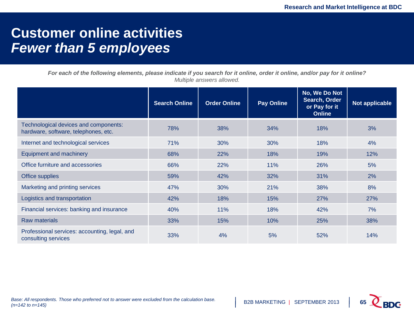### **Customer online activities** *Fewer than 5 employees*

|                                                                               | <b>Search Online</b> | <b>Order Online</b> | <b>Pay Online</b> | No, We Do Not<br>Search, Order<br>or Pay for it<br><b>Online</b> | Not applicable |
|-------------------------------------------------------------------------------|----------------------|---------------------|-------------------|------------------------------------------------------------------|----------------|
| Technological devices and components:<br>hardware, software, telephones, etc. | 78%                  | 38%                 | 34%               | 18%                                                              | 3%             |
| Internet and technological services                                           | 71%                  | 30%                 | 30%               | 18%                                                              | 4%             |
| <b>Equipment and machinery</b>                                                | 68%                  | 22%                 | 18%               | 19%                                                              | 12%            |
| Office furniture and accessories                                              | 66%                  | 22%                 | 11%               | 26%                                                              | 5%             |
| Office supplies                                                               | 59%                  | 42%                 | 32%               | 31%                                                              | 2%             |
| Marketing and printing services                                               | 47%                  | 30%                 | 21%               | 38%                                                              | 8%             |
| Logistics and transportation                                                  | 42%                  | 18%                 | 15%               | 27%                                                              | 27%            |
| Financial services: banking and insurance                                     | 40%                  | 11%                 | 18%               | 42%                                                              | 7%             |
| <b>Raw materials</b>                                                          | 33%                  | 15%                 | 10%               | <b>25%</b>                                                       | 38%            |
| Professional services: accounting, legal, and<br>consulting services          | 33%                  | 4%                  | 5%                | 52%                                                              | 14%            |

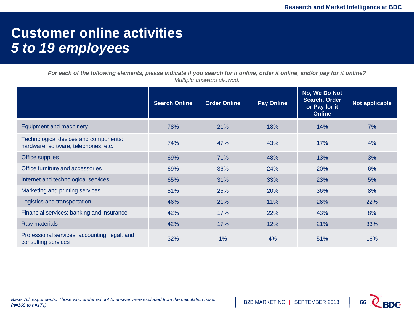### **Customer online activities** *5 to 19 employees*

|                                                                               | <b>Search Online</b> | <b>Order Online</b> | <b>Pay Online</b> | No, We Do Not<br>Search, Order<br>or Pay for it<br><b>Online</b> | Not applicable |
|-------------------------------------------------------------------------------|----------------------|---------------------|-------------------|------------------------------------------------------------------|----------------|
| <b>Equipment and machinery</b>                                                | 78%                  | 21%                 | 18%               | 14%                                                              | 7%             |
| Technological devices and components:<br>hardware, software, telephones, etc. | 74%                  | 47%                 | 43%               | 17%                                                              | 4%             |
| Office supplies                                                               | 69%                  | 71%                 | 48%               | 13%                                                              | 3%             |
| Office furniture and accessories                                              | 69%                  | 36%                 | 24%               | 20%                                                              | 6%             |
| Internet and technological services                                           | 65%                  | 31%                 | 33%               | 23%                                                              | 5%             |
| Marketing and printing services                                               | 51%                  | 25%                 | 20%               | 36%                                                              | 8%             |
| Logistics and transportation                                                  | 46%                  | 21%                 | 11%               | 26%                                                              | 22%            |
| Financial services: banking and insurance                                     | 42%                  | 17%                 | 22%               | 43%                                                              | 8%             |
| <b>Raw materials</b>                                                          | 42%                  | 17%                 | 12%               | 21%                                                              | 33%            |
| Professional services: accounting, legal, and<br>consulting services          | 32%                  | $1\%$               | 4%                | 51%                                                              | 16%            |

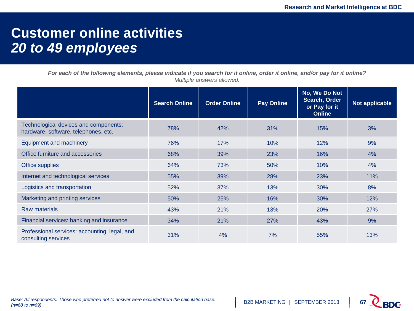### **Customer online activities** *20 to 49 employees*

|                                                                               | <b>Search Online</b> | <b>Order Online</b> | <b>Pay Online</b> | No, We Do Not<br>Search, Order<br>or Pay for it<br><b>Online</b> | Not applicable |
|-------------------------------------------------------------------------------|----------------------|---------------------|-------------------|------------------------------------------------------------------|----------------|
| Technological devices and components:<br>hardware, software, telephones, etc. | 78%                  | 42%                 | 31%               | 15%                                                              | 3%             |
| Equipment and machinery                                                       | 76%                  | 17%                 | 10%               | 12%                                                              | 9%             |
| Office furniture and accessories                                              | 68%                  | 39%                 | 23%               | 16%                                                              | 4%             |
| Office supplies                                                               | 64%                  | 73%                 | 50%               | 10%                                                              | 4%             |
| Internet and technological services                                           | 55%                  | 39%                 | 28%               | 23%                                                              | 11%            |
| Logistics and transportation                                                  | 52%                  | 37%                 | 13%               | 30%                                                              | 8%             |
| Marketing and printing services                                               | 50%                  | 25%                 | 16%               | 30%                                                              | 12%            |
| <b>Raw materials</b>                                                          | 43%                  | 21%                 | 13%               | 20%                                                              | 27%            |
| Financial services: banking and insurance                                     | 34%                  | 21%                 | 27%               | 43%                                                              | 9%             |
| Professional services: accounting, legal, and<br>consulting services          | 31%                  | 4%                  | 7%                | 55%                                                              | 13%            |

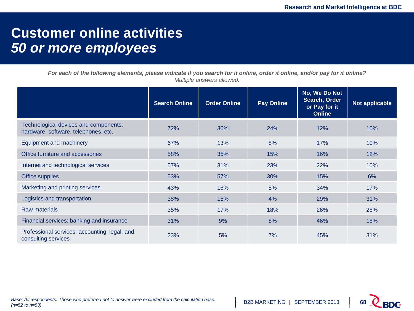### **Customer online activities** *50 or more employees*

|                                                                               | <b>Search Online</b> | <b>Order Online</b> | <b>Pay Online</b> | No, We Do Not<br>Search, Order<br>or Pay for it<br><b>Online</b> | Not applicable |
|-------------------------------------------------------------------------------|----------------------|---------------------|-------------------|------------------------------------------------------------------|----------------|
| Technological devices and components:<br>hardware, software, telephones, etc. | 72%                  | 36%                 | 24%               | 12%                                                              | 10%            |
| <b>Equipment and machinery</b>                                                | 67%                  | 13%                 | 8%                | 17%                                                              | 10%            |
| Office furniture and accessories                                              | 58%                  | 35%                 | 15%               | 16%                                                              | 12%            |
| Internet and technological services                                           | 57%                  | 31%                 | 23%               | 22%                                                              | 10%            |
| Office supplies                                                               | 53%                  | 57%                 | 30%               | 15%                                                              | 6%             |
| Marketing and printing services                                               | 43%                  | 16%                 | 5%                | 34%                                                              | 17%            |
| Logistics and transportation                                                  | 38%                  | 15%                 | 4%                | 29%                                                              | 31%            |
| <b>Raw materials</b>                                                          | 35%                  | 17%                 | 18%               | 26%                                                              | 28%            |
| Financial services: banking and insurance                                     | 31%                  | 9%                  | 8%                | 46%                                                              | 18%            |
| Professional services: accounting, legal, and<br>consulting services          | 23%                  | 5%                  | 7%                | 45%                                                              | 31%            |

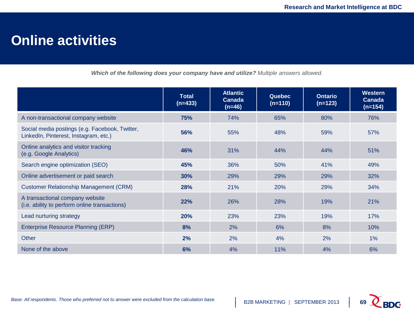### **Online activities**

*Which of the following does your company have and utilize? Multiple answers allowed.*

|                                                                                         | <b>Total</b><br>$(n=433)$ | <b>Atlantic</b><br>Canada<br>$(n=46)$ | <b>Quebec</b><br>$(n=110)$ | <b>Ontario</b><br>$(n=123)$ | <b>Western</b><br>Canada<br>$(n=154)$ |
|-----------------------------------------------------------------------------------------|---------------------------|---------------------------------------|----------------------------|-----------------------------|---------------------------------------|
| A non-transactional company website                                                     | 75%                       | 74%                                   | 65%                        | 80%                         | 76%                                   |
| Social media postings (e.g. Facebook, Twitter,<br>LinkedIn, Pinterest, Instagram, etc.) | 56%                       | 55%                                   | 48%                        | 59%                         | 57%                                   |
| Online analytics and visitor tracking<br>(e.g. Google Analytics)                        | 46%                       | 31%                                   | 44%                        | 44%                         | 51%                                   |
| Search engine optimization (SEO)                                                        | 45%                       | 36%                                   | 50%                        | 41%                         | 49%                                   |
| Online advertisement or paid search                                                     | 30%                       | 29%                                   | 29%                        | 29%                         | 32%                                   |
| <b>Customer Relationship Management (CRM)</b>                                           | 28%                       | 21%                                   | 20%                        | 29%                         | 34%                                   |
| A transactional company website<br>(i.e. ability to perform online transactions)        | 22%                       | 26%                                   | 28%                        | 19%                         | 21%                                   |
| Lead nurturing strategy                                                                 | 20%                       | 23%                                   | 23%                        | 19%                         | 17%                                   |
| Enterprise Resource Planning (ERP)                                                      | 8%                        | 2%                                    | 6%                         | 8%                          | 10%                                   |
| Other                                                                                   | 2%                        | 2%                                    | 4%                         | 2%                          | $1\%$                                 |
| None of the above                                                                       | 6%                        | 4%                                    | 11%                        | 4%                          | 6%                                    |

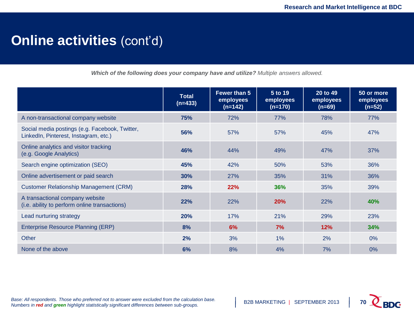### **Online activities (cont'd)**

*Which of the following does your company have and utilize? Multiple answers allowed.*

|                                                                                         | <b>Total</b><br>$(n=433)$ | Fewer than 5<br>employees<br>$(n=142)$ | 5 to 19<br>employees<br>$(n=170)$ | 20 to 49<br>employees<br>$(n=69)$ | 50 or more<br>employees<br>$(n=52)$ |
|-----------------------------------------------------------------------------------------|---------------------------|----------------------------------------|-----------------------------------|-----------------------------------|-------------------------------------|
| A non-transactional company website                                                     | 75%                       | 72%                                    | 77%                               | 78%                               | 77%                                 |
| Social media postings (e.g. Facebook, Twitter,<br>LinkedIn, Pinterest, Instagram, etc.) | 56%                       | 57%                                    | 57%                               | 45%                               | 47%                                 |
| Online analytics and visitor tracking<br>(e.g. Google Analytics)                        | 46%                       | 44%                                    | 49%                               | 47%                               | 37%                                 |
| Search engine optimization (SEO)                                                        | 45%                       | 42%                                    | 50%                               | 53%                               | 36%                                 |
| Online advertisement or paid search                                                     | 30%                       | 27%                                    | 35%                               | 31%                               | 36%                                 |
| <b>Customer Relationship Management (CRM)</b>                                           | 28%                       | 22%                                    | 36%                               | 35%                               | 39%                                 |
| A transactional company website<br>(i.e. ability to perform online transactions)        | 22%                       | 22%                                    | 20%                               | 22%                               | 40%                                 |
| Lead nurturing strategy                                                                 | <b>20%</b>                | 17%                                    | 21%                               | 29%                               | 23%                                 |
| Enterprise Resource Planning (ERP)                                                      | 8%                        | 6%                                     | 7%                                | 12%                               | 34%                                 |
| Other                                                                                   | 2%                        | 3%                                     | $1\%$                             | 2%                                | 0%                                  |
| None of the above                                                                       | 6%                        | 8%                                     | 4%                                | 7%                                | 0%                                  |

*Base: All respondents. Those who preferred not to answer were excluded from the calculation base. Numbers in red and green highlight statistically significant differences between sub-groups.*